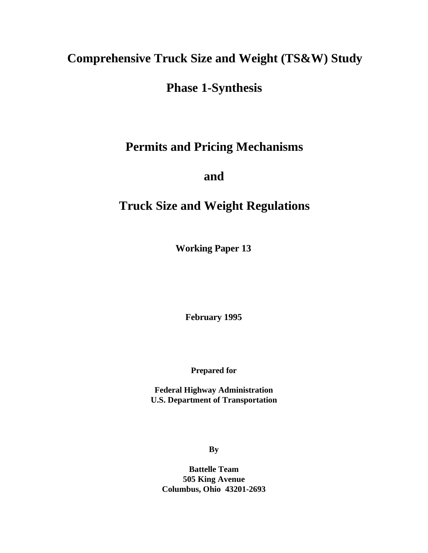# **Comprehensive Truck Size and Weight (TS&W) Study**

## **Phase 1-Synthesis**

# **Permits and Pricing Mechanisms**

## **and**

# **Truck Size and Weight Regulations**

**Working Paper 13**

**February 1995**

**Prepared for**

**Federal Highway Administration U.S. Department of Transportation**

**By**

**Battelle Team 505 King Avenue Columbus, Ohio 43201-2693**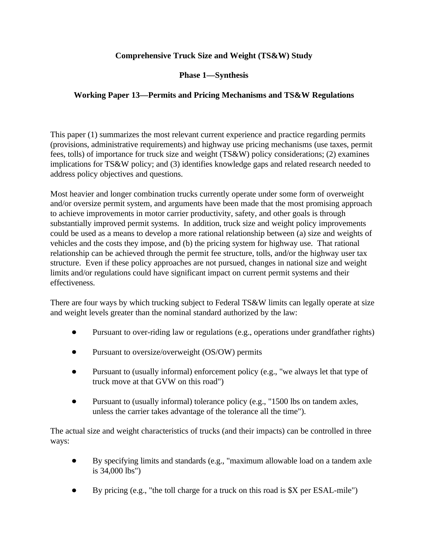## **Comprehensive Truck Size and Weight (TS&W) Study**

**Phase 1—Synthesis**

## **Working Paper 13—Permits and Pricing Mechanisms and TS&W Regulations**

This paper (1) summarizes the most relevant current experience and practice regarding permits (provisions, administrative requirements) and highway use pricing mechanisms (use taxes, permit fees, tolls) of importance for truck size and weight (TS&W) policy considerations; (2) examines implications for TS&W policy; and (3) identifies knowledge gaps and related research needed to address policy objectives and questions.

Most heavier and longer combination trucks currently operate under some form of overweight and/or oversize permit system, and arguments have been made that the most promising approach to achieve improvements in motor carrier productivity, safety, and other goals is through substantially improved permit systems. In addition, truck size and weight policy improvements could be used as a means to develop a more rational relationship between (a) size and weights of vehicles and the costs they impose, and (b) the pricing system for highway use. That rational relationship can be achieved through the permit fee structure, tolls, and/or the highway user tax structure. Even if these policy approaches are not pursued, changes in national size and weight limits and/or regulations could have significant impact on current permit systems and their effectiveness.

There are four ways by which trucking subject to Federal TS&W limits can legally operate at size and weight levels greater than the nominal standard authorized by the law:

- Pursuant to over-riding law or regulations (e.g., operations under grandfather rights)
- Pursuant to oversize/overweight (OS/OW) permits  $\bullet$
- Pursuant to (usually informal) enforcement policy (e.g., "we always let that type of truck move at that GVW on this road")
- Pursuant to (usually informal) tolerance policy (e.g., "1500 lbs on tandem axles,  $\bullet$ unless the carrier takes advantage of the tolerance all the time").

The actual size and weight characteristics of trucks (and their impacts) can be controlled in three ways:

- By specifying limits and standards (e.g., "maximum allowable load on a tandem axle  $\bullet$ is 34,000 lbs")
- By pricing (e.g., "the toll charge for a truck on this road is \$X per ESAL-mile")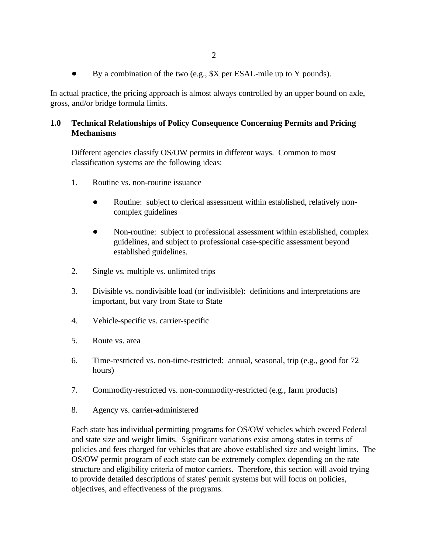By a combination of the two (e.g., \$X per ESAL-mile up to Y pounds).  $\bullet$ 

In actual practice, the pricing approach is almost always controlled by an upper bound on axle, gross, and/or bridge formula limits.

## **1.0 Technical Relationships of Policy Consequence Concerning Permits and Pricing Mechanisms**

Different agencies classify OS/OW permits in different ways. Common to most classification systems are the following ideas:

- 1. Routine vs. non-routine issuance
	- Routine: subject to clerical assessment within established, relatively noncomplex guidelines
	- Non-routine: subject to professional assessment within established, complex guidelines, and subject to professional case-specific assessment beyond established guidelines.
- 2. Single vs. multiple vs. unlimited trips
- 3. Divisible vs. nondivisible load (or indivisible): definitions and interpretations are important, but vary from State to State
- 4. Vehicle-specific vs. carrier-specific
- 5. Route vs. area
- 6. Time-restricted vs. non-time-restricted: annual, seasonal, trip (e.g., good for 72 hours)
- 7. Commodity-restricted vs. non-commodity-restricted (e.g., farm products)
- 8. Agency vs. carrier-administered

Each state has individual permitting programs for OS/OW vehicles which exceed Federal and state size and weight limits. Significant variations exist among states in terms of policies and fees charged for vehicles that are above established size and weight limits. The OS/OW permit program of each state can be extremely complex depending on the rate structure and eligibility criteria of motor carriers. Therefore, this section will avoid trying to provide detailed descriptions of states' permit systems but will focus on policies, objectives, and effectiveness of the programs.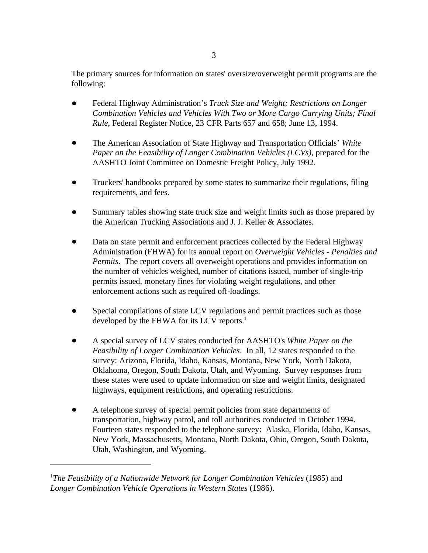The primary sources for information on states' oversize/overweight permit programs are the following:

- Federal Highway Administration's *Truck Size and Weight; Restrictions on Longer Combination Vehicles and Vehicles With Two or More Cargo Carrying Units; Final Rule*, Federal Register Notice, 23 CFR Parts 657 and 658; June 13, 1994.
- The American Association of State Highway and Transportation Officials *White Paper on the Feasibility of Longer Combination Vehicles (LCVs)*, prepared for the AASHTO Joint Committee on Domestic Freight Policy, July 1992.
- Truckers' handbooks prepared by some states to summarize their regulations, filing requirements, and fees.
- Summary tables showing state truck size and weight limits such as those prepared by the American Trucking Associations and J. J. Keller & Associates.
- Data on state permit and enforcement practices collected by the Federal Highway Administration (FHWA) for its annual report on *Overweight Vehicles - Penalties and Permits*. The report covers all overweight operations and provides information on the number of vehicles weighed, number of citations issued, number of single-trip permits issued, monetary fines for violating weight regulations, and other enforcement actions such as required off-loadings.
- Special compilations of state LCV regulations and permit practices such as those developed by the FHWA for its LCV reports.<sup>1</sup>
- A special survey of LCV states conducted for AASHTO's *White Paper on the Feasibility of Longer Combination Vehicles*. In all, 12 states responded to the survey: Arizona, Florida, Idaho, Kansas, Montana, New York, North Dakota, Oklahoma, Oregon, South Dakota, Utah, and Wyoming. Survey responses from these states were used to update information on size and weight limits, designated highways, equipment restrictions, and operating restrictions.
- A telephone survey of special permit policies from state departments of transportation, highway patrol, and toll authorities conducted in October 1994. Fourteen states responded to the telephone survey: Alaska, Florida, Idaho, Kansas, New York, Massachusetts, Montana, North Dakota, Ohio, Oregon, South Dakota, Utah, Washington, and Wyoming.

*The Feasibility of a Nationwide Network for Longer Combination Vehicles* (1985) and <sup>1</sup> *Longer Combination Vehicle Operations in Western States* (1986).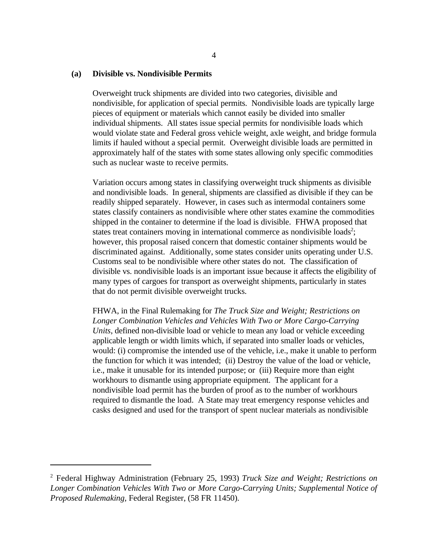#### **(a) Divisible vs. Nondivisible Permits**

Overweight truck shipments are divided into two categories, divisible and nondivisible, for application of special permits. Nondivisible loads are typically large pieces of equipment or materials which cannot easily be divided into smaller individual shipments. All states issue special permits for nondivisible loads which would violate state and Federal gross vehicle weight, axle weight, and bridge formula limits if hauled without a special permit. Overweight divisible loads are permitted in approximately half of the states with some states allowing only specific commodities such as nuclear waste to receive permits.

Variation occurs among states in classifying overweight truck shipments as divisible and nondivisible loads. In general, shipments are classified as divisible if they can be readily shipped separately. However, in cases such as intermodal containers some states classify containers as nondivisible where other states examine the commodities shipped in the container to determine if the load is divisible. FHWA proposed that states treat containers moving in international commerce as nondivisible loads<sup>2</sup>; however, this proposal raised concern that domestic container shipments would be discriminated against. Additionally, some states consider units operating under U.S. Customs seal to be nondivisible where other states do not. The classification of divisible vs. nondivisible loads is an important issue because it affects the eligibility of many types of cargoes for transport as overweight shipments, particularly in states that do not permit divisible overweight trucks.

FHWA, in the Final Rulemaking for *The Truck Size and Weight; Restrictions on Longer Combination Vehicles and Vehicles With Two or More Cargo-Carrying Units*, defined non-divisible load or vehicle to mean any load or vehicle exceeding applicable length or width limits which, if separated into smaller loads or vehicles, would: (i) compromise the intended use of the vehicle, i.e., make it unable to perform the function for which it was intended; (ii) Destroy the value of the load or vehicle, i.e., make it unusable for its intended purpose; or (iii) Require more than eight workhours to dismantle using appropriate equipment. The applicant for a nondivisible load permit has the burden of proof as to the number of workhours required to dismantle the load. A State may treat emergency response vehicles and casks designed and used for the transport of spent nuclear materials as nondivisible

Federal Highway Administration (February 25, 1993) *Truck Size and Weight; Restrictions on* 2 *Longer Combination Vehicles With Two or More Cargo-Carrying Units; Supplemental Notice of Proposed Rulemaking,* Federal Register, (58 FR 11450).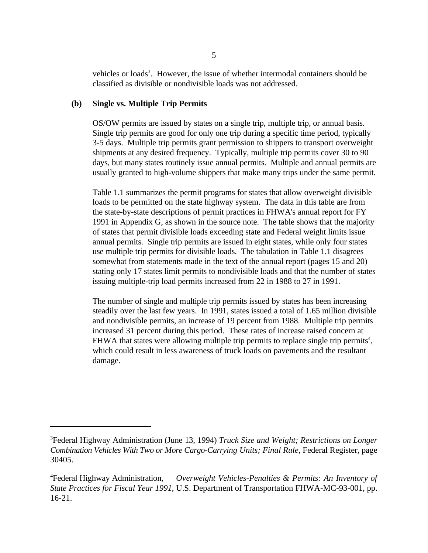vehicles or loads<sup>3</sup>. However, the issue of whether intermodal containers should be classified as divisible or nondivisible loads was not addressed.

## **(b) Single vs. Multiple Trip Permits**

OS/OW permits are issued by states on a single trip, multiple trip, or annual basis. Single trip permits are good for only one trip during a specific time period, typically 3-5 days. Multiple trip permits grant permission to shippers to transport overweight shipments at any desired frequency. Typically, multiple trip permits cover 30 to 90 days, but many states routinely issue annual permits. Multiple and annual permits are usually granted to high-volume shippers that make many trips under the same permit.

Table 1.1 summarizes the permit programs for states that allow overweight divisible loads to be permitted on the state highway system. The data in this table are from the state-by-state descriptions of permit practices in FHWA's annual report for FY 1991 in Appendix G, as shown in the source note. The table shows that the majority of states that permit divisible loads exceeding state and Federal weight limits issue annual permits. Single trip permits are issued in eight states, while only four states use multiple trip permits for divisible loads. The tabulation in Table 1.1 disagrees somewhat from statements made in the text of the annual report (pages 15 and 20) stating only 17 states limit permits to nondivisible loads and that the number of states issuing multiple-trip load permits increased from 22 in 1988 to 27 in 1991.

The number of single and multiple trip permits issued by states has been increasing steadily over the last few years. In 1991, states issued a total of 1.65 million divisible and nondivisible permits, an increase of 19 percent from 1988. Multiple trip permits increased 31 percent during this period. These rates of increase raised concern at FHWA that states were allowing multiple trip permits to replace single trip permits<sup>4</sup>, which could result in less awareness of truck loads on pavements and the resultant damage.

Federal Highway Administration (June 13, 1994) *Truck Size and Weight; Restrictions on Longer* <sup>3</sup> *Combination Vehicles With Two or More Cargo-Carrying Units; Final Rule,* Federal Register, page 30405.

Overweight Vehicles-Penalties & Permits: An Inventory of <sup>4</sup>Federal Highway Administration, *State Practices for Fiscal Year 1991*, U.S. Department of Transportation FHWA-MC-93-001, pp. 16-21.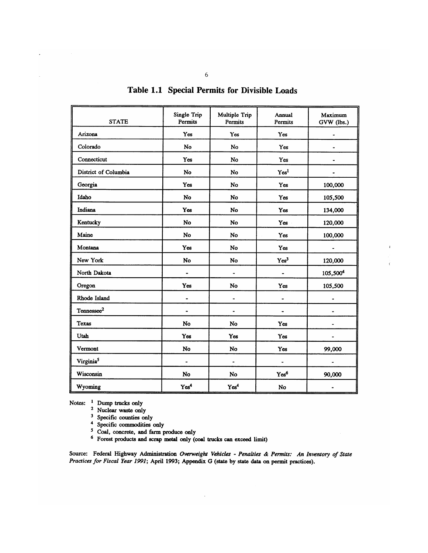| <b>STATE</b>           | Single Trip<br>Permits   | Multiple Trip<br>Permits     | Annual<br>Permits | Maximum<br>GVW (lbs.) |
|------------------------|--------------------------|------------------------------|-------------------|-----------------------|
| Arizona                | Yes                      | Yes                          | Yes               |                       |
| Colorado               | No                       | <b>No</b>                    | Yes               |                       |
| Connecticut            | Yes                      | No                           | Yes               |                       |
| District of Columbia   | No                       | No                           | Yes <sup>1</sup>  |                       |
| Georgia                | Yes                      | No                           | Yes               | 100,000               |
| Idaho                  | No                       | No                           | Yes               | 105,500               |
| Indiana                | Yes                      | No                           | Yes               | 134,000               |
| Kentucky               | No                       | No                           | Yes               | 120,000               |
| Maine                  | No                       | No                           | Yes               | 100,000               |
| Montana                | Yes                      | No                           | Yes               |                       |
| New York               | No                       | No                           | Yes <sup>3</sup>  | 120,000               |
| North Dakota           | $\blacksquare$           |                              |                   | 105,5004              |
| Oregon                 | Yes                      | <b>No</b>                    | Yes               | 105,500               |
| Rhode Island           | $\overline{\phantom{0}}$ |                              |                   |                       |
| Tennessee <sup>2</sup> | $\overline{\phantom{0}}$ |                              |                   |                       |
| <b>Texas</b>           | <b>No</b>                | No                           | Yes               |                       |
| Utah                   | Yes                      | Yes                          | Yes               |                       |
| Vermont                | No                       | No                           | Yes               | 99,000                |
| Virginia <sup>5</sup>  | $\overline{\phantom{0}}$ | $\qquad \qquad \blacksquare$ | $\blacksquare$    |                       |
| Wisconsin              | No                       | No                           | Yes <sup>6</sup>  | 90,000                |
| Wyoming                | Yes <sup>4</sup>         | Yes <sup>4</sup>             | No                |                       |

 $\mathbf{I}$ 

Table 1.1 Special Permits for Divisible Loads

Notes: <sup>1</sup> Dump trucks only

<sup>2</sup> Nuclear waste only<br><sup>3</sup> Specific counties only

4 Specific commodities only<br>5 Coal, concrete, and farm produce only<br>6 Forest products and scrap metal only (coal trucks can exceed limit)

Source: Federal Highway Administration Overweight Vehicles - Penalties & Permits: An Inventory of State Practices for Fiscal Year 1991; April 1993; Appendix G (state by state data on permit practices).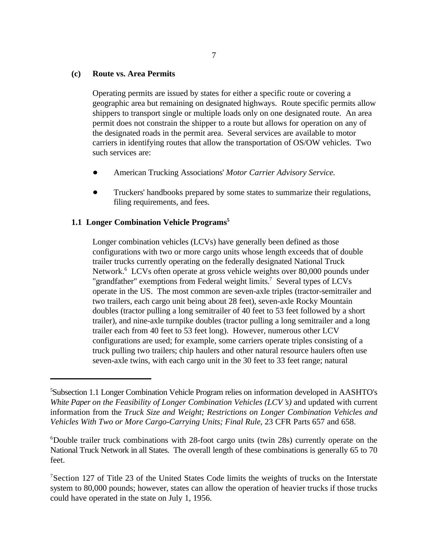#### **(c) Route vs. Area Permits**

Operating permits are issued by states for either a specific route or covering a geographic area but remaining on designated highways. Route specific permits allow shippers to transport single or multiple loads only on one designated route. An area permit does not constrain the shipper to a route but allows for operation on any of the designated roads in the permit area. Several services are available to motor carriers in identifying routes that allow the transportation of OS/OW vehicles. Two such services are:

- American Trucking Associations' *Motor Carrier Advisory Service.*
- Truckers' handbooks prepared by some states to summarize their regulations, filing requirements, and fees.

#### **1.1 Longer Combination Vehicle Programs<sup>5</sup>**

Longer combination vehicles (LCVs) have generally been defined as those configurations with two or more cargo units whose length exceeds that of double trailer trucks currently operating on the federally designated National Truck Network.<sup>6</sup> LCVs often operate at gross vehicle weights over 80,000 pounds under "grandfather" exemptions from Federal weight limits.<sup>7</sup> Several types of LCVs operate in the US. The most common are seven-axle triples (tractor-semitrailer and two trailers, each cargo unit being about 28 feet), seven-axle Rocky Mountain doubles (tractor pulling a long semitrailer of 40 feet to 53 feet followed by a short trailer), and nine-axle turnpike doubles (tractor pulling a long semitrailer and a long trailer each from 40 feet to 53 feet long). However, numerous other LCV configurations are used; for example, some carriers operate triples consisting of a truck pulling two trailers; chip haulers and other natural resource haulers often use seven-axle twins, with each cargo unit in the 30 feet to 33 feet range; natural

Subsection 1.1 Longer Combination Vehicle Program relies on information developed in AASHTO's <sup>5</sup> *White Paper on the Feasibility of Longer Combination Vehicles (LCV s)* and updated with current information from the *Truck Size and Weight; Restrictions on Longer Combination Vehicles and Vehicles With Two or More Cargo-Carrying Units; Final Rule*, 23 CFR Parts 657 and 658.

 $6$ Double trailer truck combinations with 28-foot cargo units (twin 28s) currently operate on the National Truck Network in all States. The overall length of these combinations is generally 65 to 70 feet.

<sup>&</sup>lt;sup>7</sup>Section 127 of Title 23 of the United States Code limits the weights of trucks on the Interstate system to 80,000 pounds; however, states can allow the operation of heavier trucks if those trucks could have operated in the state on July 1, 1956.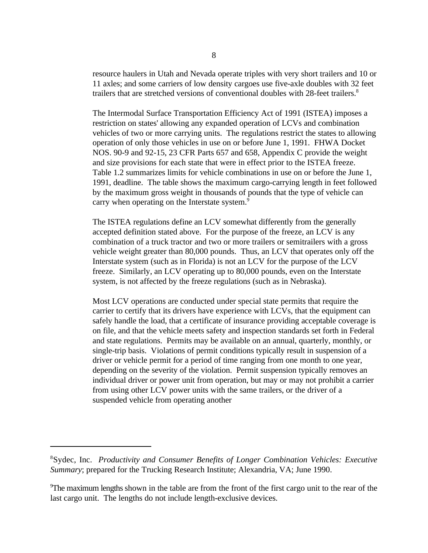resource haulers in Utah and Nevada operate triples with very short trailers and 10 or 11 axles; and some carriers of low density cargoes use five-axle doubles with 32 feet trailers that are stretched versions of conventional doubles with 28-feet trailers.<sup>8</sup>

The Intermodal Surface Transportation Efficiency Act of 1991 (ISTEA) imposes a restriction on states' allowing any expanded operation of LCVs and combination vehicles of two or more carrying units. The regulations restrict the states to allowing operation of only those vehicles in use on or before June 1, 1991. FHWA Docket NOS. 90-9 and 92-15, 23 CFR Parts 657 and 658, Appendix C provide the weight and size provisions for each state that were in effect prior to the ISTEA freeze. Table 1.2 summarizes limits for vehicle combinations in use on or before the June 1, 1991, deadline. The table shows the maximum cargo-carrying length in feet followed by the maximum gross weight in thousands of pounds that the type of vehicle can carry when operating on the Interstate system.<sup>9</sup>

The ISTEA regulations define an LCV somewhat differently from the generally accepted definition stated above. For the purpose of the freeze, an LCV is any combination of a truck tractor and two or more trailers or semitrailers with a gross vehicle weight greater than 80,000 pounds. Thus, an LCV that operates only off the Interstate system (such as in Florida) is not an LCV for the purpose of the LCV freeze. Similarly, an LCV operating up to 80,000 pounds, even on the Interstate system, is not affected by the freeze regulations (such as in Nebraska).

Most LCV operations are conducted under special state permits that require the carrier to certify that its drivers have experience with LCVs, that the equipment can safely handle the load, that a certificate of insurance providing acceptable coverage is on file, and that the vehicle meets safety and inspection standards set forth in Federal and state regulations. Permits may be available on an annual, quarterly, monthly, or single-trip basis. Violations of permit conditions typically result in suspension of a driver or vehicle permit for a period of time ranging from one month to one year, depending on the severity of the violation. Permit suspension typically removes an individual driver or power unit from operation, but may or may not prohibit a carrier from using other LCV power units with the same trailers, or the driver of a suspended vehicle from operating another

Sydec, Inc. *Productivity and Consumer Benefits of Longer Combination Vehicles: Executive* 8 *Summary*; prepared for the Trucking Research Institute; Alexandria, VA; June 1990.

<sup>&</sup>lt;sup>9</sup>The maximum lengths shown in the table are from the front of the first cargo unit to the rear of the last cargo unit. The lengths do not include length-exclusive devices.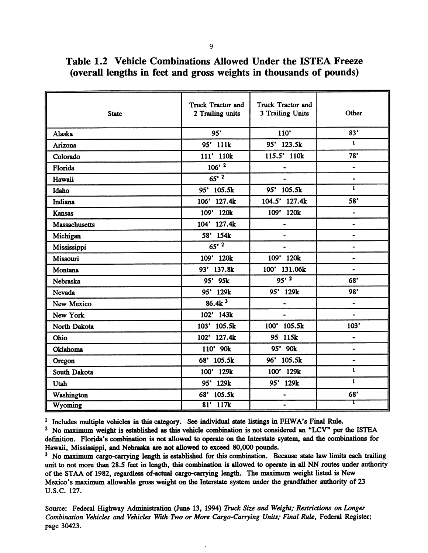| <b>State</b>         | Truck Tractor and<br>2 Trailing units | Truck Tractor and<br>3 Trailing Units | Other                        |
|----------------------|---------------------------------------|---------------------------------------|------------------------------|
| Alaska               | 95"                                   | 110'                                  | 83'                          |
| Arizona              | 95' 111k                              | 95' 123.5k                            | $\mathbf{1}$                 |
| Colorado             | 111' 110k                             | 115.5' 110k                           | 78'                          |
| Florida              | $106'$ <sup>2</sup>                   | $\qquad \qquad \blacksquare$          | $\overline{\phantom{0}}$     |
| Hawaii               | $65'$ <sup>2</sup>                    |                                       | $\blacksquare$               |
| Idaho                | 95' 105.5k                            | 95' 105.5k                            | $\mathbf{1}$                 |
| Indiana              | 106' 127.4k                           | 104.5' 127.4k                         | 58 <sup>'</sup>              |
| <b>Kansas</b>        | 109' 120k                             | 109' 120k                             | $\bullet$                    |
| <b>Massachusetts</b> | 104' 127.4k                           | $\ddot{\phantom{1}}$                  | $\bullet$                    |
| Michigan             | 58' 154k                              |                                       | $\ddot{\phantom{0}}$         |
| Mississippi          | $\sqrt{65^2}$                         | $\blacksquare$                        | $\qquad \qquad \blacksquare$ |
| Missouri             | 109' 120k                             | 109' 120k                             | $\blacksquare$               |
| Montana              | 93' 137.8k                            | 100' 131.06k                          | $\bullet$                    |
| Nebraska             | 95' 95k                               | $95'$ <sup>2</sup>                    | 68'                          |
| Nevada               | 95' 129k                              | 95' 129k                              | 98'                          |
| New Mexico           | 86.4k <sup>3</sup>                    | $\qquad \qquad \blacksquare$          | $\blacksquare$               |
| New York             | 102' 143k                             | $\blacksquare$                        | $\overline{\phantom{a}}$     |
| North Dakota         | 103' 105.5k                           | 100' 105.5k                           | 103'                         |
| Ohio                 | 102' 127.4k                           | 95 115k                               | $\bullet$                    |
| Oklahoma             | 110' 90k                              | 95' 90k                               |                              |
| Oregon               | 68' 105.5k                            | 96' 105.5k                            | -                            |
| South Dakota         | 100' 129k                             | 100' 129k                             | 1                            |
| Utah                 | 95' 129k                              | 95' 129k                              | $\mathbf{1}$                 |
| Washington           | 68' 105.5k                            | $\qquad \qquad \blacksquare$          | 68'                          |
| Wyoming              | 81' 117k                              | $\blacksquare$                        | т                            |

Table 1.2 Vehicle Combinations Allowed Under the ISTEA Freeze (overall lengths in feet and gross weights in thousands of pounds)

<sup>1</sup> Includes multiple vehicles in this category. See individual state listings in FHWA's Final Rule.

<sup>2</sup> No maximum weight is established as this vehicle combination is not considered an "LCV" per the ISTEA definition. Florida's combination is not allowed to operate on the Interstate system, and the combinations for Hawaii, Mississippi, and Nebraska are not allowed to exceed 80,000 pounds.

<sup>3</sup> No maximum cargo-carrying length is established for this combination. Because state law limits each trailing unit to not more than 28.5 feet in length, this combination is allowed to operate in all NN routes under authority of the STAA of 1982, regardless of-actual cargo-carrying length. The maximum weight listed is New Mexico's maximum allowable gross weight on the Interstate system under the grandfather authority of 23 U.S.C. 127.

Source: Federal Highway Administration (June 13, 1994) Truck Size and Weight; Restrictions on Longer Combination Vehicles and Vehicles With Two or More Cargo-Carrying Units; Final Rule, Federal Register; page 30423.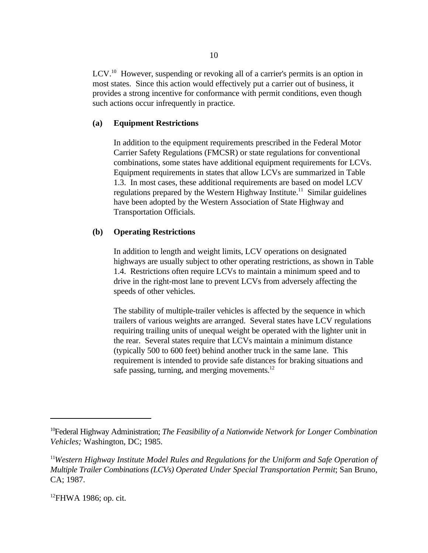LCV.<sup>10</sup> However, suspending or revoking all of a carrier's permits is an option in most states. Since this action would effectively put a carrier out of business, it provides a strong incentive for conformance with permit conditions, even though such actions occur infrequently in practice.

## **(a) Equipment Restrictions**

In addition to the equipment requirements prescribed in the Federal Motor Carrier Safety Regulations (FMCSR) or state regulations for conventional combinations, some states have additional equipment requirements for LCVs. Equipment requirements in states that allow LCVs are summarized in Table 1.3. In most cases, these additional requirements are based on model LCV regulations prepared by the Western Highway Institute.<sup>11</sup> Similar guidelines have been adopted by the Western Association of State Highway and Transportation Officials.

## **(b) Operating Restrictions**

In addition to length and weight limits, LCV operations on designated highways are usually subject to other operating restrictions, as shown in Table 1.4. Restrictions often require LCVs to maintain a minimum speed and to drive in the right-most lane to prevent LCVs from adversely affecting the speeds of other vehicles.

The stability of multiple-trailer vehicles is affected by the sequence in which trailers of various weights are arranged. Several states have LCV regulations requiring trailing units of unequal weight be operated with the lighter unit in the rear. Several states require that LCVs maintain a minimum distance (typically 500 to 600 feet) behind another truck in the same lane. This requirement is intended to provide safe distances for braking situations and safe passing, turning, and merging movements.<sup>12</sup>

<sup>&</sup>lt;sup>10</sup> Federal Highway Administration; *The Feasibility of a Nationwide Network for Longer Combination Vehicles;* Washington, DC; 1985.

<sup>&</sup>lt;sup>11</sup>Western Highway Institute Model Rules and Regulations for the Uniform and Safe Operation of *Multiple Trailer Combinations (LCVs) Operated Under Special Transportation Permit*; San Bruno, CA; 1987.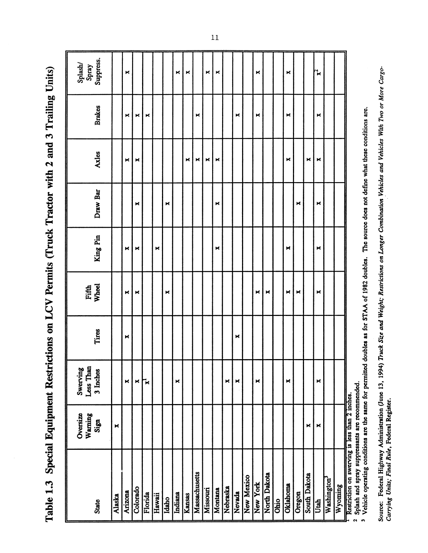Table 1.3 Special Equipment Restrictions on LCV Permits (Truck Tractor with 2 and 3 Trailing Units)

| State                                                                                          | Oversize<br>Warning<br>Sign | Less Than<br>Swerving<br>3 Inches | Tires | Fifth<br>Wheel | King Pin | Draw Bar | Axles | <b>Brakes</b> | Splash/<br>Spray<br>Suppress. |
|------------------------------------------------------------------------------------------------|-----------------------------|-----------------------------------|-------|----------------|----------|----------|-------|---------------|-------------------------------|
| Alaska                                                                                         | $\blacktriangleright$       |                                   |       |                |          |          |       |               |                               |
| Arizona                                                                                        |                             | ×                                 | ×     | ×              | ×        |          | ×     | ×             | ×                             |
| Colorado                                                                                       |                             | ×                                 |       | ×              | ×        | ×        | ×     | ×             |                               |
| Florida                                                                                        |                             | $\mathbf{r}$                      |       |                |          |          |       | ×             |                               |
| Hawaii                                                                                         |                             |                                   |       |                | ×        |          |       |               |                               |
| Idaho                                                                                          |                             |                                   |       | ×              |          | ×        |       |               |                               |
| Indiana                                                                                        |                             | ×                                 |       |                |          |          |       |               | ×                             |
| Kansas                                                                                         |                             |                                   |       |                |          |          | ×     |               | ×                             |
| Massachusetts                                                                                  |                             |                                   |       |                |          |          | ×     | ×             |                               |
| Missouri                                                                                       |                             |                                   |       |                |          |          | ×     |               | ×                             |
| Montana                                                                                        |                             |                                   |       |                | ×        | ×        | ×     |               | $\Join$                       |
| Nebraska                                                                                       |                             | ×                                 |       |                |          |          |       |               |                               |
| Nevada                                                                                         |                             | ×                                 | ×     |                |          |          |       | ×             |                               |
| New Mexico                                                                                     |                             |                                   |       |                |          |          |       |               |                               |
| New York                                                                                       |                             | ×                                 |       | ×              |          |          |       | ×             | ×                             |
| North Dakota                                                                                   |                             |                                   |       | ×              |          |          |       |               |                               |
| Ohio                                                                                           |                             |                                   |       |                |          |          |       |               |                               |
| Oklahoma                                                                                       |                             | ×                                 |       | ×              | ×        |          | ×     | ×             | ×                             |
| Oregon                                                                                         |                             |                                   |       | ×              |          | ×        |       |               |                               |
| South Dakota                                                                                   | ×                           |                                   |       |                |          |          | ×     |               |                               |
| Utah                                                                                           | ×                           | ×                                 |       | ×              | ×        | ×        | ×     | ×             | ኊ                             |
| Washington <sup>3</sup>                                                                        |                             |                                   |       |                |          |          |       |               |                               |
| Wyoming                                                                                        |                             |                                   |       |                |          |          |       |               |                               |
| Restriction on swerving is less than 2 inches.<br>Solach and comey cum<br>$\ddot{\phantom{a}}$ | eante                       | mended                            |       |                |          |          |       |               |                               |

<sup>2</sup> Splash and spray suppressants are recommended.<br><sup>3</sup> Vehicle operating conditions are the same for permitted doubles as for STAA of 1982 doubles. The source does not define what these conditions are.

Source: Federal Highway Administration (June 13, 1994) Truck Size and Weight; Restrictions on Longer Combination Vehicles and Vehicles With Two or More Cargo-<br>Carrying Units; Final Rule, Federal Register.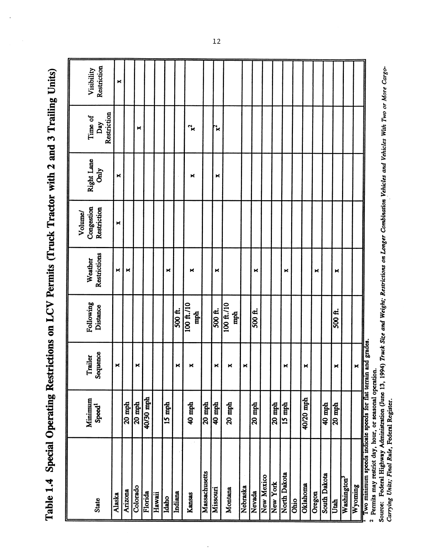Table 1.4 Special Operating Restrictions on LCV Permits (Truck Tractor with 2 and 3 Trailing Units)

| Restriction<br>Visibility            | $\blacktriangleright$ |          |          |           |        |        |         |                   |               |          |                            |          |          |            |          |              |      |           |        |              |          |                         |                       |                                                                                                                           |
|--------------------------------------|-----------------------|----------|----------|-----------|--------|--------|---------|-------------------|---------------|----------|----------------------------|----------|----------|------------|----------|--------------|------|-----------|--------|--------------|----------|-------------------------|-----------------------|---------------------------------------------------------------------------------------------------------------------------|
| Restriction<br>Time of<br>Day        |                       |          | ×        |           |        |        |         | ፝፞ጙ               |               | ፝ዾ       |                            |          |          |            |          |              |      |           |        |              |          |                         |                       |                                                                                                                           |
| Right Lane<br>Only                   | $\blacktriangleright$ |          |          |           |        |        |         | ĸ                 |               | ×        |                            |          |          |            |          |              |      |           |        |              |          |                         |                       |                                                                                                                           |
| Congestion<br>Restriction<br>Volume/ | ×                     |          |          |           |        |        |         |                   |               |          |                            |          |          |            |          |              |      |           |        |              |          |                         |                       |                                                                                                                           |
| Weather<br>Restrictions              | ×                     | ×        |          |           |        | ×      |         | ×                 |               | ×        |                            |          | ×        |            |          | ×            |      |           | ×      |              | ×        |                         |                       |                                                                                                                           |
| Following<br>Distance                |                       |          |          |           |        |        | 500 ft. | 100 ft./10<br>mph |               | 500 ft.  | $100~{\rm ft}$ ./10<br>mph |          | 500 ft.  |            |          |              |      |           |        |              | 500 ft.  |                         |                       |                                                                                                                           |
| Sequence<br>Trailer                  | ×                     |          | ×        |           |        |        | ×       | ×                 |               | ×        | ×                          | ×        |          |            |          | ×            |      | ×         |        |              | ×        |                         | $\blacktriangleright$ |                                                                                                                           |
| Minimum<br>Speed <sup>1</sup>        |                       | $20$ mph | $20$ mph | 40/30 mph |        | 15 mph |         | 40 mph            | $20$ mph      | $40$ mph | $20$ mph                   |          | $20$ mph |            | $20$ mph | $15$ mph     |      | 40/20 mph |        | 40 mph       | $20$ mph |                         |                       |                                                                                                                           |
| <b>State</b>                         | Alaska                | Arizona  | Colorado | Florida   | Hawaii | Idaho  | Indiana | Kansas            | Massachusetts | Missouri | Montana                    | Nebraska | Nevada   | New Mexico | New York | North Dakota | Ohio | Oklahoma  | Oregon | South Dakota | Utah     | Washington <sup>3</sup> | Wyoming               | Two minimum speeds indicate speeds for flat terrain and grades.<br>Permits may restrict day, hour, or seasonal operation. |

Source: Federal Highway Administration (June 13, 1994) Truck Size and Weight; Restrictions on Longer Combination Vehicles and Vehicles With Two or More Cargo-<br>Carrying Units; Final Rule, Federal Register.

 $\overline{12}$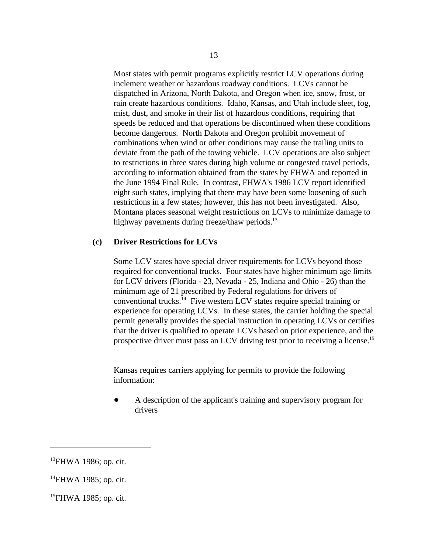Most states with permit programs explicitly restrict LCV operations during inclement weather or hazardous roadway conditions. LCVs cannot be dispatched in Arizona, North Dakota, and Oregon when ice, snow, frost, or rain create hazardous conditions. Idaho, Kansas, and Utah include sleet, fog, mist, dust, and smoke in their list of hazardous conditions, requiring that speeds be reduced and that operations be discontinued when these conditions become dangerous. North Dakota and Oregon prohibit movement of combinations when wind or other conditions may cause the trailing units to deviate from the path of the towing vehicle. LCV operations are also subject to restrictions in three states during high volume or congested travel periods, according to information obtained from the states by FHWA and reported in the June 1994 Final Rule. In contrast, FHWA's 1986 LCV report identified eight such states, implying that there may have been some loosening of such restrictions in a few states; however, this has not been investigated. Also, Montana places seasonal weight restrictions on LCVs to minimize damage to highway pavements during freeze/thaw periods.<sup>13</sup>

#### **(c) Driver Restrictions for LCVs**

Some LCV states have special driver requirements for LCVs beyond those required for conventional trucks. Four states have higher minimum age limits for LCV drivers (Florida - 23, Nevada - 25, Indiana and Ohio - 26) than the minimum age of 21 prescribed by Federal regulations for drivers of conventional trucks.<sup>14</sup> Five western LCV states require special training or experience for operating LCVs. In these states, the carrier holding the special permit generally provides the special instruction in operating LCVs or certifies that the driver is qualified to operate LCVs based on prior experience, and the prospective driver must pass an LCV driving test prior to receiving a license.<sup>15</sup>

Kansas requires carriers applying for permits to provide the following information:

 $\bullet$ A description of the applicant's training and supervisory program for drivers

 $^{13}$ FHWA 1986; op. cit.

 $^{14}$ FHWA 1985; op. cit.

 $^{15}$ FHWA 1985; op. cit.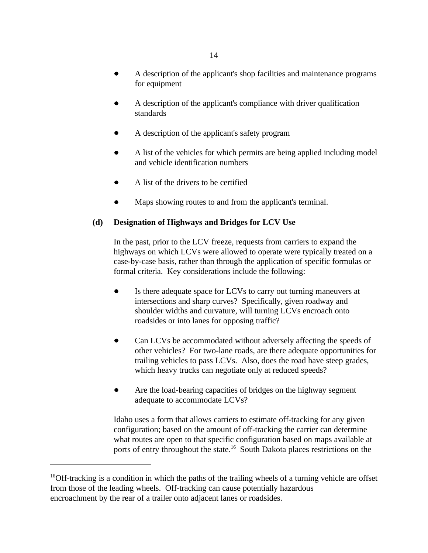- A description of the applicant's shop facilities and maintenance programs for equipment
- A description of the applicant's compliance with driver qualification standards
- A description of the applicant's safety program  $\bullet$
- A list of the vehicles for which permits are being applied including model and vehicle identification numbers
- $\bullet$ A list of the drivers to be certified
- Maps showing routes to and from the applicant's terminal.

## **(d) Designation of Highways and Bridges for LCV Use**

In the past, prior to the LCV freeze, requests from carriers to expand the highways on which LCVs were allowed to operate were typically treated on a case-by-case basis, rather than through the application of specific formulas or formal criteria. Key considerations include the following:

- $\bullet$ Is there adequate space for LCVs to carry out turning maneuvers at intersections and sharp curves? Specifically, given roadway and shoulder widths and curvature, will turning LCVs encroach onto roadsides or into lanes for opposing traffic?
- $\bullet$ Can LCVs be accommodated without adversely affecting the speeds of other vehicles? For two-lane roads, are there adequate opportunities for trailing vehicles to pass LCVs. Also, does the road have steep grades, which heavy trucks can negotiate only at reduced speeds?
- Are the load-bearing capacities of bridges on the highway segment  $\bullet$ adequate to accommodate LCVs?

Idaho uses a form that allows carriers to estimate off-tracking for any given configuration; based on the amount of off-tracking the carrier can determine what routes are open to that specific configuration based on maps available at ports of entry throughout the state.<sup>16</sup> South Dakota places restrictions on the

<sup>&</sup>lt;sup>16</sup>Off-tracking is a condition in which the paths of the trailing wheels of a turning vehicle are offset from those of the leading wheels. Off-tracking can cause potentially hazardous encroachment by the rear of a trailer onto adjacent lanes or roadsides.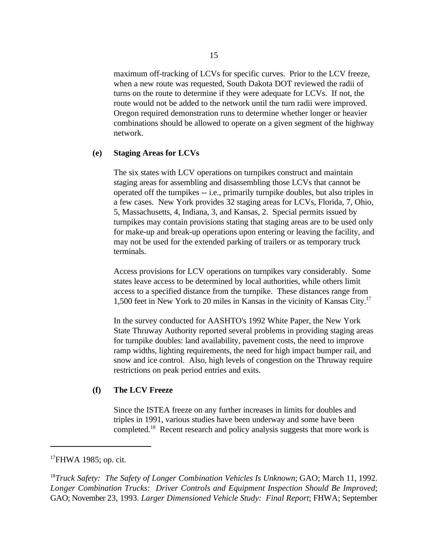maximum off-tracking of LCVs for specific curves. Prior to the LCV freeze, when a new route was requested, South Dakota DOT reviewed the radii of turns on the route to determine if they were adequate for LCVs. If not, the route would not be added to the network until the turn radii were improved. Oregon required demonstration runs to determine whether longer or heavier combinations should be allowed to operate on a given segment of the highway network.

#### **(e) Staging Areas for LCVs**

The six states with LCV operations on turnpikes construct and maintain staging areas for assembling and disassembling those LCVs that cannot be operated off the turnpikes -- i.e., primarily turnpike doubles, but also triples in a few cases. New York provides 32 staging areas for LCVs, Florida, 7, Ohio, 5, Massachusetts, 4, Indiana, 3, and Kansas, 2. Special permits issued by turnpikes may contain provisions stating that staging areas are to be used only for make-up and break-up operations upon entering or leaving the facility, and may not be used for the extended parking of trailers or as temporary truck terminals.

Access provisions for LCV operations on turnpikes vary considerably. Some states leave access to be determined by local authorities, while others limit access to a specified distance from the turnpike. These distances range from 1,500 feet in New York to 20 miles in Kansas in the vicinity of Kansas City.<sup>17</sup>

In the survey conducted for AASHTO's 1992 White Paper, the New York State Thruway Authority reported several problems in providing staging areas for turnpike doubles: land availability, pavement costs, the need to improve ramp widths, lighting requirements, the need for high impact bumper rail, and snow and ice control. Also, high levels of congestion on the Thruway require restrictions on peak period entries and exits.

#### **(f) The LCV Freeze**

Since the ISTEA freeze on any further increases in limits for doubles and triples in 1991, various studies have been underway and some have been completed.<sup>18</sup> Recent research and policy analysis suggests that more work is

## $17$ FHWA 1985; op. cit.

<sup>18</sup>Truck Safety: The Safety of Longer Combination Vehicles Is Unknown; GAO; March 11, 1992. *Longer Combination Trucks: Driver Controls and Equipment Inspection Should Be Improved*; GAO; November 23, 1993. *Larger Dimensioned Vehicle Study: Final Report*; FHWA; September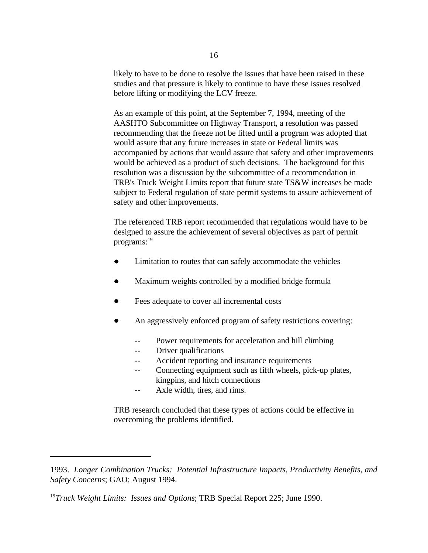likely to have to be done to resolve the issues that have been raised in these studies and that pressure is likely to continue to have these issues resolved before lifting or modifying the LCV freeze.

As an example of this point, at the September 7, 1994, meeting of the AASHTO Subcommittee on Highway Transport, a resolution was passed recommending that the freeze not be lifted until a program was adopted that would assure that any future increases in state or Federal limits was accompanied by actions that would assure that safety and other improvements would be achieved as a product of such decisions. The background for this resolution was a discussion by the subcommittee of a recommendation in TRB's Truck Weight Limits report that future state TS&W increases be made subject to Federal regulation of state permit systems to assure achievement of safety and other improvements.

The referenced TRB report recommended that regulations would have to be designed to assure the achievement of several objectives as part of permit programs:<sup>19</sup>

- Limitation to routes that can safely accommodate the vehicles
- Maximum weights controlled by a modified bridge formula Ď.
- Fees adequate to cover all incremental costs  $\bullet$
- An aggressively enforced program of safety restrictions covering:  $\bullet$ 
	- -- Power requirements for acceleration and hill climbing
	- -- Driver qualifications
	- -- Accident reporting and insurance requirements
	- -- Connecting equipment such as fifth wheels, pick-up plates, kingpins, and hitch connections
	- -- Axle width, tires, and rims.

TRB research concluded that these types of actions could be effective in overcoming the problems identified.

<sup>1993.</sup> *Longer Combination Trucks: Potential Infrastructure Impacts, Productivity Benefits, and Safety Concerns*; GAO; August 1994.

<sup>&</sup>lt;sup>19</sup>Truck Weight Limits: Issues and Options; TRB Special Report 225; June 1990.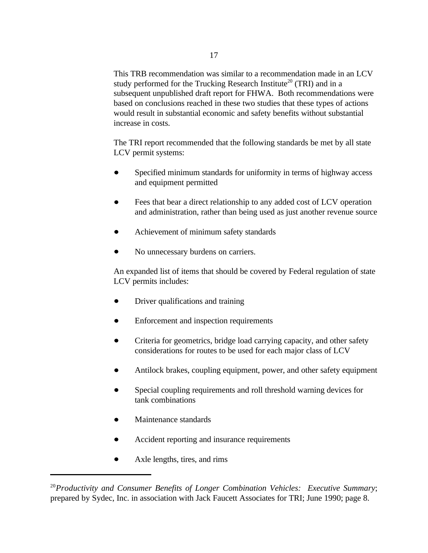This TRB recommendation was similar to a recommendation made in an LCV study performed for the Trucking Research Institute<sup>20</sup> (TRI) and in a subsequent unpublished draft report for FHWA. Both recommendations were based on conclusions reached in these two studies that these types of actions would result in substantial economic and safety benefits without substantial increase in costs.

The TRI report recommended that the following standards be met by all state LCV permit systems:

- Specified minimum standards for uniformity in terms of highway access and equipment permitted
- Fees that bear a direct relationship to any added cost of LCV operation and administration, rather than being used as just another revenue source
- Achievement of minimum safety standards
- $\bullet$ No unnecessary burdens on carriers.

An expanded list of items that should be covered by Federal regulation of state LCV permits includes:

- Driver qualifications and training  $\bullet$
- Enforcement and inspection requirements  $\bullet$
- $\bullet$ Criteria for geometrics, bridge load carrying capacity, and other safety considerations for routes to be used for each major class of LCV
- Antilock brakes, coupling equipment, power, and other safety equipment
- Special coupling requirements and roll threshold warning devices for tank combinations
- Maintenance standards  $\bullet$
- Accident reporting and insurance requirements  $\bullet$
- Axle lengths, tires, and rims

<sup>&</sup>lt;sup>20</sup> Productivity and Consumer Benefits of Longer Combination Vehicles: Executive Summary; prepared by Sydec, Inc. in association with Jack Faucett Associates for TRI; June 1990; page 8.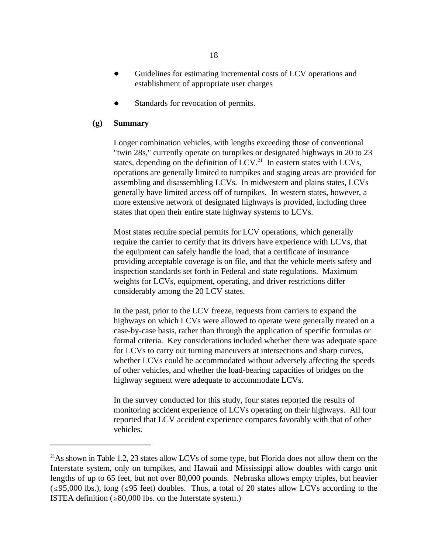- Guidelines for estimating incremental costs of LCV operations and  $\bullet$ establishment of appropriate user charges
- Standards for revocation of permits.  $\bullet$

## **(g) Summary**

Longer combination vehicles, with lengths exceeding those of conventional "twin 28s," currently operate on turnpikes or designated highways in 20 to 23 states, depending on the definition of  $LCV<sup>21</sup>$ . In eastern states with LCVs, operations are generally limited to turnpikes and staging areas are provided for assembling and disassembling LCVs. In midwestern and plains states, LCVs generally have limited access off of turnpikes. In western states, however, a more extensive network of designated highways is provided, including three states that open their entire state highway systems to LCVs.

Most states require special permits for LCV operations, which generally require the carrier to certify that its drivers have experience with LCVs, that the equipment can safely handle the load, that a certificate of insurance providing acceptable coverage is on file, and that the vehicle meets safety and inspection standards set forth in Federal and state regulations. Maximum weights for LCVs, equipment, operating, and driver restrictions differ considerably among the 20 LCV states.

In the past, prior to the LCV freeze, requests from carriers to expand the highways on which LCVs were allowed to operate were generally treated on a case-by-case basis, rather than through the application of specific formulas or formal criteria. Key considerations included whether there was adequate space for LCVs to carry out turning maneuvers at intersections and sharp curves, whether LCVs could be accommodated without adversely affecting the speeds of other vehicles, and whether the load-bearing capacities of bridges on the highway segment were adequate to accommodate LCVs.

In the survey conducted for this study, four states reported the results of monitoring accident experience of LCVs operating on their highways. All four reported that LCV accident experience compares favorably with that of other vehicles.

 $^{21}$ As shown in Table 1.2, 23 states allow LCVs of some type, but Florida does not allow them on the Interstate system, only on turnpikes, and Hawaii and Mississippi allow doubles with cargo unit lengths of up to 65 feet, but not over 80,000 pounds. Nebraska allows empty triples, but heavier  $( \leq 95,000 \text{ lbs.})$ , long ( $\leq 95$  feet) doubles. Thus, a total of 20 states allow LCVs according to the ISTEA definition  $( \ge 80,000$  lbs. on the Interstate system.)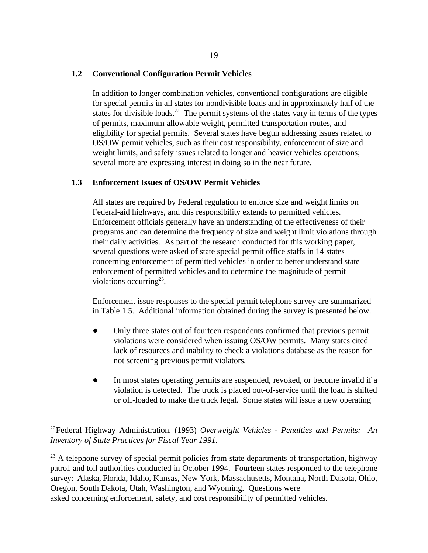## **1.2 Conventional Configuration Permit Vehicles**

In addition to longer combination vehicles, conventional configurations are eligible for special permits in all states for nondivisible loads and in approximately half of the states for divisible loads.<sup>22</sup> The permit systems of the states vary in terms of the types of permits, maximum allowable weight, permitted transportation routes, and eligibility for special permits. Several states have begun addressing issues related to OS/OW permit vehicles, such as their cost responsibility, enforcement of size and weight limits, and safety issues related to longer and heavier vehicles operations; several more are expressing interest in doing so in the near future.

## **1.3 Enforcement Issues of OS/OW Permit Vehicles**

All states are required by Federal regulation to enforce size and weight limits on Federal-aid highways, and this responsibility extends to permitted vehicles. Enforcement officials generally have an understanding of the effectiveness of their programs and can determine the frequency of size and weight limit violations through their daily activities. As part of the research conducted for this working paper, several questions were asked of state special permit office staffs in 14 states concerning enforcement of permitted vehicles in order to better understand state enforcement of permitted vehicles and to determine the magnitude of permit violations occurring<sup>23</sup>.

Enforcement issue responses to the special permit telephone survey are summarized in Table 1.5. Additional information obtained during the survey is presented below.

- Only three states out of fourteen respondents confirmed that previous permit violations were considered when issuing OS/OW permits. Many states cited lack of resources and inability to check a violations database as the reason for not screening previous permit violators.
- $\bullet$ In most states operating permits are suspended, revoked, or become invalid if a violation is detected. The truck is placed out-of-service until the load is shifted or off-loaded to make the truck legal. Some states will issue a new operating

 $^{23}$  A telephone survey of special permit policies from state departments of transportation, highway patrol, and toll authorities conducted in October 1994. Fourteen states responded to the telephone survey: Alaska, Florida, Idaho, Kansas, New York, Massachusetts, Montana, North Dakota, Ohio, Oregon, South Dakota, Utah, Washington, and Wyoming. Questions were asked concerning enforcement, safety, and cost responsibility of permitted vehicles.

Federal Highway Administration, (1993) *Overweight Vehicles - Penalties and Permits: An* 22 *Inventory of State Practices for Fiscal Year 1991.*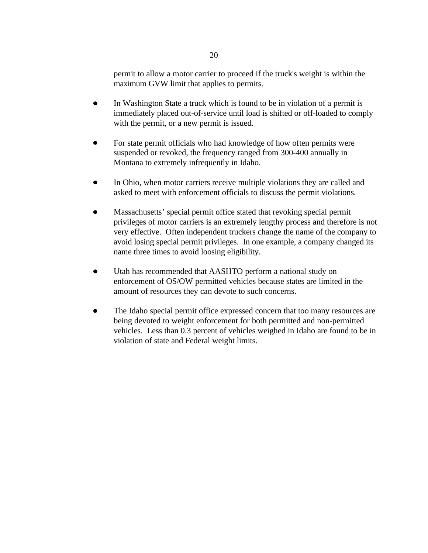permit to allow a motor carrier to proceed if the truck's weight is within the maximum GVW limit that applies to permits.

- In Washington State a truck which is found to be in violation of a permit is  $\bullet$ immediately placed out-of-service until load is shifted or off-loaded to comply with the permit, or a new permit is issued.
- For state permit officials who had knowledge of how often permits were suspended or revoked, the frequency ranged from 300-400 annually in Montana to extremely infrequently in Idaho.
- $\bullet$ In Ohio, when motor carriers receive multiple violations they are called and asked to meet with enforcement officials to discuss the permit violations.
- Massachusetts' special permit office stated that revoking special permit  $\bullet$ privileges of motor carriers is an extremely lengthy process and therefore is not very effective. Often independent truckers change the name of the company to avoid losing special permit privileges. In one example, a company changed its name three times to avoid loosing eligibility.
- $\bullet$ Utah has recommended that AASHTO perform a national study on enforcement of OS/OW permitted vehicles because states are limited in the amount of resources they can devote to such concerns.
- The Idaho special permit office expressed concern that too many resources are being devoted to weight enforcement for both permitted and non-permitted vehicles. Less than 0.3 percent of vehicles weighed in Idaho are found to be in violation of state and Federal weight limits.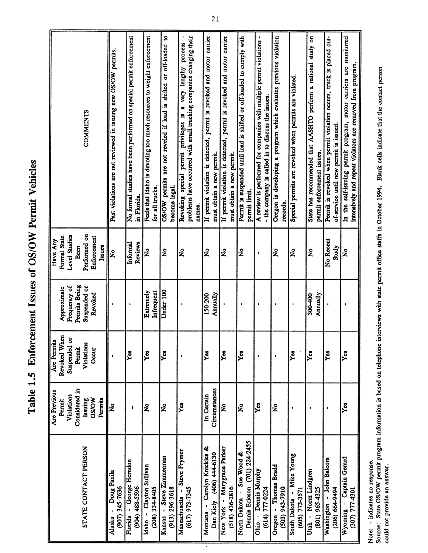Table 1.5 Enforcement Issues of OS/OW Permit Vehicles

|                                                                           | Are Previous<br>Violations<br>Permit | Revoked When<br>ð<br>Are Permits<br>Suspended | Frequency of<br>Approximate | Level Studies<br><b>Formal State</b><br>Have Any |                                                                                                                               |
|---------------------------------------------------------------------------|--------------------------------------|-----------------------------------------------|-----------------------------|--------------------------------------------------|-------------------------------------------------------------------------------------------------------------------------------|
|                                                                           | Considered in                        | Permit                                        | Permits Being               | Been                                             |                                                                                                                               |
| STATE CONTACT PERSON                                                      | Issuing                              | Violations                                    | Suspended or                | Performed on                                     | <b>COMMENTS</b>                                                                                                               |
|                                                                           | <b>OS/OW</b><br>Permits              | Occur                                         | Revoked                     | Enforcement<br>Issues                            |                                                                                                                               |
| Doug Panila<br>Alaska                                                     | Ş                                    |                                               |                             | ż                                                | Past violations are not reviewed in issuing new OS/OW permits.                                                                |
| (907) 345-7636                                                            |                                      |                                               |                             |                                                  |                                                                                                                               |
| - George Herndon<br>Florida                                               | ı                                    | Yes                                           |                             | Informal                                         | No formal studies have been performed on special permit enforcement                                                           |
| (904) 488-5596                                                            |                                      |                                               |                             | Reviews                                          | in Florida.                                                                                                                   |
| Idaho - Clayton Sullivan<br>$(208)$ 334-8405                              | $\tilde{\mathbf{z}}$                 | Yes                                           | Infrequent<br>Extremely     | ž                                                | Feels that Idaho is devoting too much resources to weight enforcement<br>for all trucks.                                      |
|                                                                           |                                      |                                               |                             |                                                  |                                                                                                                               |
| Kansas - Steve Zimmerman                                                  | $\mathbf{z}$                         | yes                                           | Under 100                   | $\mathbf{\hat{z}}$                               | are not reveled if load is shifted or off-loaded to<br>OS/OW permits                                                          |
| $(913)$ 296-3618                                                          |                                      |                                               |                             |                                                  | become legal.                                                                                                                 |
| Steve Frymer<br>Massachusetts -                                           | Yes                                  |                                               |                             | ş                                                | very lengthy process<br>æ<br>privileges is<br>permit<br>special<br>Revoking                                                   |
| $(617)$ 973-7345                                                          |                                      |                                               |                             |                                                  | problems have occurred with small trucking companies changing their                                                           |
|                                                                           |                                      |                                               |                             |                                                  | names.                                                                                                                        |
| Montana - Carolyn Knickles &                                              | In Certain                           | yes                                           | 150-200                     | $\mathbf{\hat{z}}$                               | If permit violation is detected, permit is revoked and motor carrier                                                          |
| Dan Kiely (406) 444-6130                                                  | Circumstances                        |                                               | Annually                    |                                                  | must obtain a new permit                                                                                                      |
| New York - Marygrace Parker                                               | $\tilde{\mathbf{z}}$                 | Yes                                           |                             | ž                                                | If permit violation is detected, permit is revoked and motor carrier                                                          |
| (518) 436-2816                                                            |                                      |                                               |                             |                                                  | must obtain a new permit                                                                                                      |
| North Dakota - Sue Wood &                                                 | $\tilde{\mathbf{z}}$                 | Yes                                           | $\bullet$                   | $\tilde{\mathbf{z}}$                             | Permit is suspended until load is shifted or off-loaded to comply with                                                        |
| Dennis Ericson (701) 224-2455                                             |                                      |                                               |                             |                                                  | permit limit.                                                                                                                 |
| Ohio - Dennis Murphy                                                      | yes                                  | ٠                                             |                             | $\bullet$                                        | A review is performed for companies with multiple permit violations -                                                         |
| $(614) 777-0224$                                                          |                                      |                                               |                             |                                                  | - the company is called in to discuss the issues.                                                                             |
| Oregon - Thomas Bradd                                                     | ž                                    | ŧ                                             | t                           | $\mathbf{\hat{z}}$                               | Oregon is developing a program which evaluates previous violation                                                             |
| 016L-EP6 (EOS)                                                            |                                      |                                               |                             |                                                  | records.                                                                                                                      |
| South Dakota - Mike Young<br>$(605)$ $773-3571$                           | $\bullet$                            | Yes                                           | $\mathbf{I}$                | ž                                                | Special permits are revoked when permits are violated                                                                         |
| Utah - Norm Lindgren                                                      |                                      | Yes                                           | 300-400                     |                                                  |                                                                                                                               |
| (801) 965-4325                                                            | $\bullet$                            |                                               | Annually                    | ž                                                | State has recommended that AASHTO perform a national study on<br>permit enforcement issues.                                   |
|                                                                           |                                      |                                               |                             |                                                  |                                                                                                                               |
| Washington - John Balcom                                                  | $\bullet$                            | Yes                                           |                             | No Recent                                        | Permit is revoked when permit violation occurs, truck is placed out-                                                          |
| $(206) 664-9494$                                                          |                                      |                                               |                             | Study                                            | of-service until new permit is issued                                                                                         |
| Captain Gerard<br><b>1021-177</b> (205)<br>$\bar{\phantom{a}}$<br>Wyoming | Yes                                  | Yes                                           |                             | ż                                                | In the self-issuing permit program, motor carriers are monitored<br>intensively and repeat violators are removed from program |
|                                                                           |                                      |                                               |                             |                                                  |                                                                                                                               |

Note: - indicates no response.<br>Source: State OS/OW permit program information is based on telephone interviews with state permit office staffs in October 1994. Blank cells indicate that the contact person<br>could not provide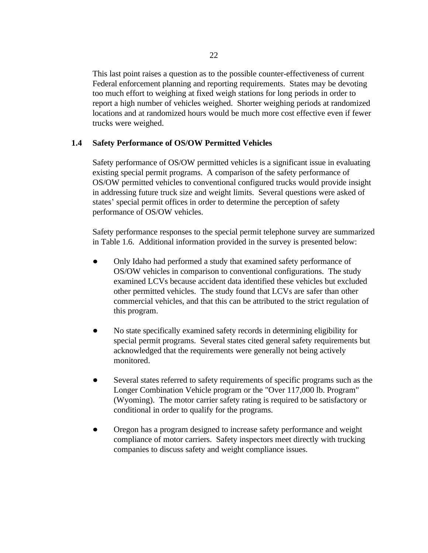This last point raises a question as to the possible counter-effectiveness of current Federal enforcement planning and reporting requirements. States may be devoting too much effort to weighing at fixed weigh stations for long periods in order to report a high number of vehicles weighed. Shorter weighing periods at randomized locations and at randomized hours would be much more cost effective even if fewer trucks were weighed.

## **1.4 Safety Performance of OS/OW Permitted Vehicles**

Safety performance of OS/OW permitted vehicles is a significant issue in evaluating existing special permit programs. A comparison of the safety performance of OS/OW permitted vehicles to conventional configured trucks would provide insight in addressing future truck size and weight limits. Several questions were asked of states' special permit offices in order to determine the perception of safety performance of OS/OW vehicles.

Safety performance responses to the special permit telephone survey are summarized in Table 1.6. Additional information provided in the survey is presented below:

- Only Idaho had performed a study that examined safety performance of OS/OW vehicles in comparison to conventional configurations. The study examined LCVs because accident data identified these vehicles but excluded other permitted vehicles. The study found that LCVs are safer than other commercial vehicles, and that this can be attributed to the strict regulation of this program.
- No state specifically examined safety records in determining eligibility for  $\bullet$ special permit programs. Several states cited general safety requirements but acknowledged that the requirements were generally not being actively monitored.
- $\bullet$ Several states referred to safety requirements of specific programs such as the Longer Combination Vehicle program or the "Over 117,000 lb. Program" (Wyoming). The motor carrier safety rating is required to be satisfactory or conditional in order to qualify for the programs.
- $\bullet$ Oregon has a program designed to increase safety performance and weight compliance of motor carriers. Safety inspectors meet directly with trucking companies to discuss safety and weight compliance issues.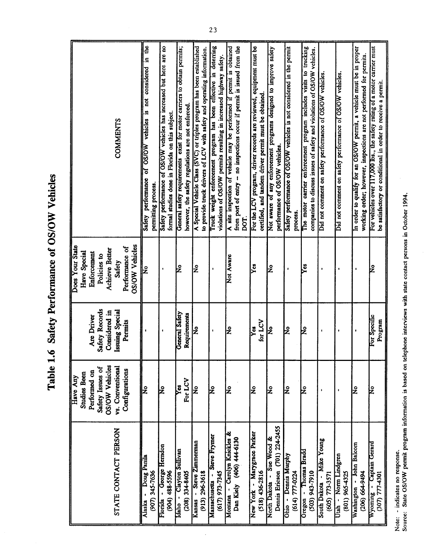Table 1.6 Safety Performance of OS/OW Vehicles

|                                                 |                                           | <b>COMMENTS</b>                    |                       | vehicles is not considered in the<br>of OS/OW<br>performance<br>permitting process.<br><b>Safety</b> | Safety performance of OS/OW vehicles has increased but here are no<br>formal studies done in Florida on this subject. | General safety requirements exist for motor carriers to obtain permits; | however, the safety regulations are not enforced. | A Special Vehicle Class (SVC) or triples program has been established<br>to provide truck drivers of LCV with safety and operating information. | Truck weight enforcement program has been effective in deterring<br>violations of OS/OW permits resulting in increased highway safety. | A site inspection of vehicle may be performed if permit is obtained | from port of entry - no inspections occur if permit is issued from the<br>DOT | For the LCV program, driver records are reviewed, equipment must be<br>certified, and tandem driver permit must be obtained | Not aware of any enforcement programs designed to improve safety<br>performance of OS/OW vehicles. | Safety performance of OS/OW vehicles is not considered in the permit<br>process | The motor carrier enforcement program includes visits to trucking<br>companies to discuss issues of safety and violations of OS/OW vehicles. | Did not comment on safety performance of OS/OW vehicles. | Did not comment on safety performance of OS/OW vehicles. | In order to qualify for an OS/OW permit, a vehicle must be in proper<br>working order; however, inspections are not performed for permits. | For vehicles over 117,000 lbs., the safety rating of a motor carrier must<br>be satisfactory or conditional in order to receive a permit. |
|-------------------------------------------------|-------------------------------------------|------------------------------------|-----------------------|------------------------------------------------------------------------------------------------------|-----------------------------------------------------------------------------------------------------------------------|-------------------------------------------------------------------------|---------------------------------------------------|-------------------------------------------------------------------------------------------------------------------------------------------------|----------------------------------------------------------------------------------------------------------------------------------------|---------------------------------------------------------------------|-------------------------------------------------------------------------------|-----------------------------------------------------------------------------------------------------------------------------|----------------------------------------------------------------------------------------------------|---------------------------------------------------------------------------------|----------------------------------------------------------------------------------------------------------------------------------------------|----------------------------------------------------------|----------------------------------------------------------|--------------------------------------------------------------------------------------------------------------------------------------------|-------------------------------------------------------------------------------------------------------------------------------------------|
| Does Your State<br>Have Special<br>Enforcement  | <b>Achieve Better</b><br>Policies to      | Performance of<br>Safety           | <b>OS/OW Vehicles</b> | $\overline{\mathbf{z}}$                                                                              |                                                                                                                       | k                                                                       |                                                   | Ş                                                                                                                                               |                                                                                                                                        | Not Aware                                                           |                                                                               | Yes                                                                                                                         | ž                                                                                                  |                                                                                 | Yes                                                                                                                                          |                                                          |                                                          |                                                                                                                                            | Ł                                                                                                                                         |
| Are Driver                                      | Safety Records<br>Considered in           | Issuing Special<br>Permits         |                       |                                                                                                      |                                                                                                                       | General Safety                                                          | Requirements                                      | $\mathbf{\hat{z}}$                                                                                                                              | $\pmb{\mathfrak{g}}$                                                                                                                   | Σ                                                                   |                                                                               | for LCV<br>x                                                                                                                | $\overline{\mathsf{z}}$                                                                            | ł                                                                               | k                                                                                                                                            |                                                          |                                                          |                                                                                                                                            | For Specific<br>Program                                                                                                                   |
| Performed on<br><b>Studies Been</b><br>Have Any | <b>OS/OW Vehicles</b><br>Safety Issues of | vs. Conventional<br>Configurations |                       | $\overline{\mathbf{z}}$                                                                              | ١Z                                                                                                                    | Į٤                                                                      | For LCV                                           | ż                                                                                                                                               | ے                                                                                                                                      | ١ş                                                                  |                                                                               | $\overline{\mathbf{z}}$                                                                                                     | Νo                                                                                                 | lş                                                                              | k                                                                                                                                            |                                                          |                                                          | ۱ş                                                                                                                                         | ę                                                                                                                                         |
|                                                 |                                           | STATE CONTACT PERSON               |                       | Doug Panila<br>(907) 345-7636<br>Alaska                                                              | Florida - George Herndon<br>$(904)$ 488-5596                                                                          | Idaho - Clayton Sullivan                                                | $(208)$ 334-8405                                  | Kansas - Steve Zimmerman<br>$(913)$ 296-3618                                                                                                    | Steve Frymer<br>(617) 973-7345<br>Massachusetts -                                                                                      | Montana - Carolyn Knickles &                                        | Dan Kiely (406) 444-6130                                                      | New York - Marygrace Parker<br>$(518)$ 436-2816                                                                             | Dennis Ericson (701) 224-2455<br>Sue Wood &<br>North Dakota -                                      | Ohio - Dennis Murphy<br>(614) 777-0224                                          | Oregon - Thomas Bradd<br>$(503)$ 943-7910                                                                                                    | - Mike Young<br>(605) 773-3571<br><b>South Dakota</b>    | Utah - Norm Lindgren<br>(801) 965-4325                   | Washington - John Balcom<br>$(206) 664-9494$                                                                                               | Wyoming - Captain Gerard<br><b>10CP-LLL (LOE)</b>                                                                                         |

 $\ddot{\phantom{0}}$ 

Note: - indicates no response.<br>Source: State OS/OW permit program information is based on telephone interviews with state contact persons in October 1994.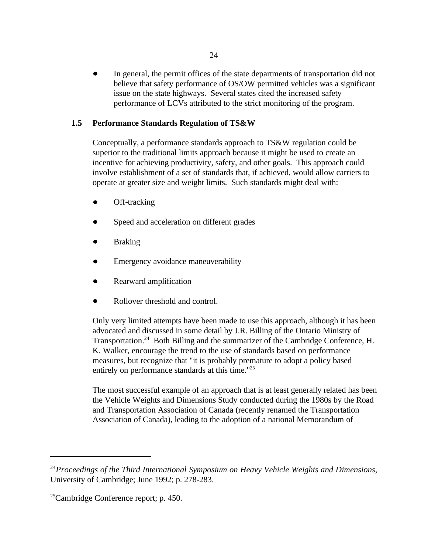In general, the permit offices of the state departments of transportation did not believe that safety performance of OS/OW permitted vehicles was a significant issue on the state highways. Several states cited the increased safety performance of LCVs attributed to the strict monitoring of the program.

## **1.5 Performance Standards Regulation of TS&W**

Conceptually, a performance standards approach to TS&W regulation could be superior to the traditional limits approach because it might be used to create an incentive for achieving productivity, safety, and other goals. This approach could involve establishment of a set of standards that, if achieved, would allow carriers to operate at greater size and weight limits. Such standards might deal with:

- Off-tracking
- Speed and acceleration on different grades
- Braking
- Emergency avoidance maneuverability
- Rearward amplification
- Rollover threshold and control.

Only very limited attempts have been made to use this approach, although it has been advocated and discussed in some detail by J.R. Billing of the Ontario Ministry of Transportation.<sup>24</sup> Both Billing and the summarizer of the Cambridge Conference, H. K. Walker, encourage the trend to the use of standards based on performance measures, but recognize that "it is probably premature to adopt a policy based entirely on performance standards at this time."<sup>25</sup>

The most successful example of an approach that is at least generally related has been the Vehicle Weights and Dimensions Study conducted during the 1980s by the Road and Transportation Association of Canada (recently renamed the Transportation Association of Canada), leading to the adoption of a national Memorandum of

*Proceedings of the Third International Symposium on Heavy Vehicle Weights and Dimensions*, 24 University of Cambridge; June 1992; p. 278-283.

 $25$ Cambridge Conference report; p. 450.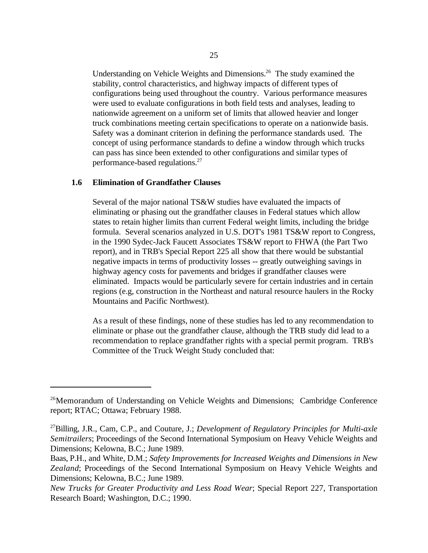Understanding on Vehicle Weights and Dimensions.<sup>26</sup> The study examined the stability, control characteristics, and highway impacts of different types of configurations being used throughout the country. Various performance measures were used to evaluate configurations in both field tests and analyses, leading to nationwide agreement on a uniform set of limits that allowed heavier and longer truck combinations meeting certain specifications to operate on a nationwide basis. Safety was a dominant criterion in defining the performance standards used. The concept of using performance standards to define a window through which trucks can pass has since been extended to other configurations and similar types of performance-based regulations.<sup>27</sup>

### **1.6 Elimination of Grandfather Clauses**

Several of the major national TS&W studies have evaluated the impacts of eliminating or phasing out the grandfather clauses in Federal statues which allow states to retain higher limits than current Federal weight limits, including the bridge formula. Several scenarios analyzed in U.S. DOT's 1981 TS&W report to Congress, in the 1990 Sydec-Jack Faucett Associates TS&W report to FHWA (the Part Two report), and in TRB's Special Report 225 all show that there would be substantial negative impacts in terms of productivity losses -- greatly outweighing savings in highway agency costs for pavements and bridges if grandfather clauses were eliminated. Impacts would be particularly severe for certain industries and in certain regions (e.g, construction in the Northeast and natural resource haulers in the Rocky Mountains and Pacific Northwest).

As a result of these findings, none of these studies has led to any recommendation to eliminate or phase out the grandfather clause, although the TRB study did lead to a recommendation to replace grandfather rights with a special permit program. TRB's Committee of the Truck Weight Study concluded that:

<sup>&</sup>lt;sup>26</sup>Memorandum of Understanding on Vehicle Weights and Dimensions; Cambridge Conference report; RTAC; Ottawa; February 1988.

<sup>&</sup>lt;sup>27</sup>Billing, J.R., Cam, C.P., and Couture, J.; *Development of Regulatory Principles for Multi-axle Semitrailers*; Proceedings of the Second International Symposium on Heavy Vehicle Weights and Dimensions; Kelowna, B.C.; June 1989.

Baas, P.H., and White, D.M.; *Safety Improvements for Increased Weights and Dimensions in New Zealand*; Proceedings of the Second International Symposium on Heavy Vehicle Weights and Dimensions; Kelowna, B.C.; June 1989.

*New Trucks for Greater Productivity and Less Road Wear*; Special Report 227, Transportation Research Board; Washington, D.C.; 1990.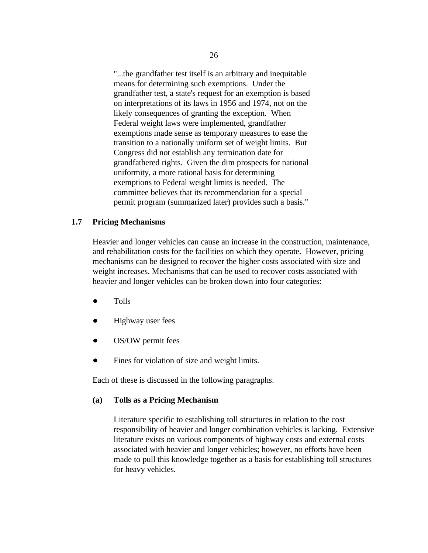"...the grandfather test itself is an arbitrary and inequitable means for determining such exemptions. Under the grandfather test, a state's request for an exemption is based on interpretations of its laws in 1956 and 1974, not on the likely consequences of granting the exception. When Federal weight laws were implemented, grandfather exemptions made sense as temporary measures to ease the transition to a nationally uniform set of weight limits. But Congress did not establish any termination date for grandfathered rights. Given the dim prospects for national uniformity, a more rational basis for determining exemptions to Federal weight limits is needed. The committee believes that its recommendation for a special permit program (summarized later) provides such a basis."

#### **1.7 Pricing Mechanisms**

Heavier and longer vehicles can cause an increase in the construction, maintenance, and rehabilitation costs for the facilities on which they operate. However, pricing mechanisms can be designed to recover the higher costs associated with size and weight increases. Mechanisms that can be used to recover costs associated with heavier and longer vehicles can be broken down into four categories:

- Tolls  $\bullet$
- Highway user fees
- OS/OW permit fees
- Fines for violation of size and weight limits.

Each of these is discussed in the following paragraphs.

#### **(a) Tolls as a Pricing Mechanism**

Literature specific to establishing toll structures in relation to the cost responsibility of heavier and longer combination vehicles is lacking. Extensive literature exists on various components of highway costs and external costs associated with heavier and longer vehicles; however, no efforts have been made to pull this knowledge together as a basis for establishing toll structures for heavy vehicles.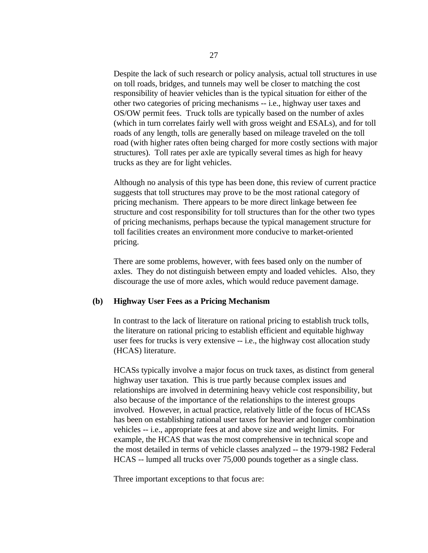Despite the lack of such research or policy analysis, actual toll structures in use on toll roads, bridges, and tunnels may well be closer to matching the cost responsibility of heavier vehicles than is the typical situation for either of the other two categories of pricing mechanisms -- i.e., highway user taxes and OS/OW permit fees. Truck tolls are typically based on the number of axles (which in turn correlates fairly well with gross weight and ESALs), and for toll roads of any length, tolls are generally based on mileage traveled on the toll road (with higher rates often being charged for more costly sections with major structures). Toll rates per axle are typically several times as high for heavy trucks as they are for light vehicles.

Although no analysis of this type has been done, this review of current practice suggests that toll structures may prove to be the most rational category of pricing mechanism. There appears to be more direct linkage between fee structure and cost responsibility for toll structures than for the other two types of pricing mechanisms, perhaps because the typical management structure for toll facilities creates an environment more conducive to market-oriented pricing.

There are some problems, however, with fees based only on the number of axles. They do not distinguish between empty and loaded vehicles. Also, they discourage the use of more axles, which would reduce pavement damage.

## **(b) Highway User Fees as a Pricing Mechanism**

In contrast to the lack of literature on rational pricing to establish truck tolls, the literature on rational pricing to establish efficient and equitable highway user fees for trucks is very extensive -- i.e., the highway cost allocation study (HCAS) literature.

HCASs typically involve a major focus on truck taxes, as distinct from general highway user taxation. This is true partly because complex issues and relationships are involved in determining heavy vehicle cost responsibility, but also because of the importance of the relationships to the interest groups involved. However, in actual practice, relatively little of the focus of HCASs has been on establishing rational user taxes for heavier and longer combination vehicles -- i.e., appropriate fees at and above size and weight limits. For example, the HCAS that was the most comprehensive in technical scope and the most detailed in terms of vehicle classes analyzed -- the 1979-1982 Federal HCAS -- lumped all trucks over 75,000 pounds together as a single class.

Three important exceptions to that focus are: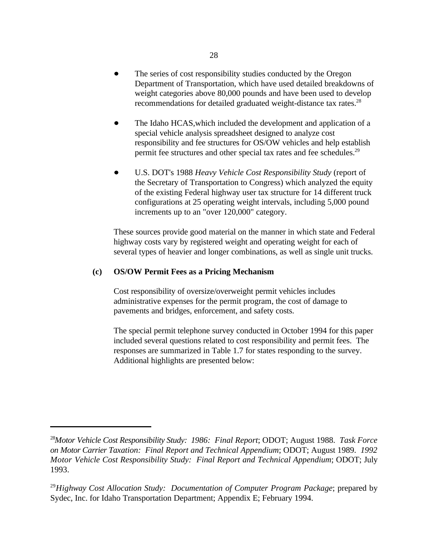- The series of cost responsibility studies conducted by the Oregon Department of Transportation, which have used detailed breakdowns of weight categories above 80,000 pounds and have been used to develop recommendations for detailed graduated weight-distance tax rates.<sup>28</sup>
- The Idaho HCAS,which included the development and application of a special vehicle analysis spreadsheet designed to analyze cost responsibility and fee structures for OS/OW vehicles and help establish permit fee structures and other special tax rates and fee schedules.<sup>29</sup>
- U.S. DOT's 1988 *Heavy Vehicle Cost Responsibility Study* (report of the Secretary of Transportation to Congress) which analyzed the equity of the existing Federal highway user tax structure for 14 different truck configurations at 25 operating weight intervals, including 5,000 pound increments up to an "over 120,000" category.

These sources provide good material on the manner in which state and Federal highway costs vary by registered weight and operating weight for each of several types of heavier and longer combinations, as well as single unit trucks.

#### **(c) OS/OW Permit Fees as a Pricing Mechanism**

Cost responsibility of oversize/overweight permit vehicles includes administrative expenses for the permit program, the cost of damage to pavements and bridges, enforcement, and safety costs.

The special permit telephone survey conducted in October 1994 for this paper included several questions related to cost responsibility and permit fees. The responses are summarized in Table 1.7 for states responding to the survey. Additional highlights are presented below:

<sup>&</sup>lt;sup>28</sup>Motor Vehicle Cost Responsibility Study: 1986: Final Report; ODOT; August 1988. Task Force *on Motor Carrier Taxation: Final Report and Technical Appendium*; ODOT; August 1989. *1992 Motor Vehicle Cost Responsibility Study: Final Report and Technical Appendium*; ODOT; July 1993.

<sup>&</sup>lt;sup>29</sup> Highway Cost Allocation Study: Documentation of Computer Program Package; prepared by Sydec, Inc. for Idaho Transportation Department; Appendix E; February 1994.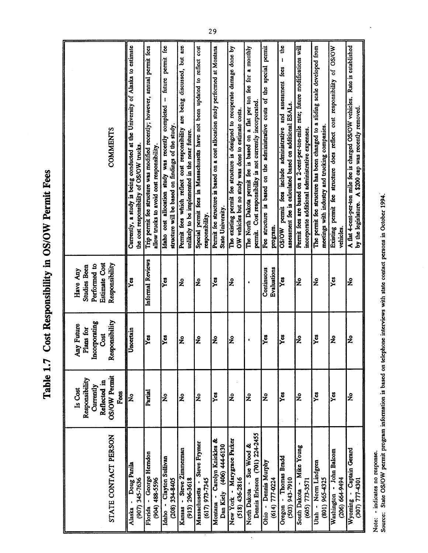Table 1.7 Cost Responsibility in OS/OW Permit Fees

| STATE CONTACT PERSON                                       | <b>OS/OW Permit</b><br>Responsibility<br>Reflected in<br>Currently<br>Is Cost<br>Fees | Responsibility<br>Incorporating<br>Any Future<br>Plans for<br>Cost | Estimate Cost<br>Performed to<br>Responsibility<br><b>Studies Been</b><br>Have Any | <b>COMMENTS</b>                                                                                                                                                         |
|------------------------------------------------------------|---------------------------------------------------------------------------------------|--------------------------------------------------------------------|------------------------------------------------------------------------------------|-------------------------------------------------------------------------------------------------------------------------------------------------------------------------|
| Doug Panila<br>(907) 345-7636<br>٠<br>Alaska               | ż                                                                                     | Incertain                                                          | Yes                                                                                | Currently, a study is being conducted at the University of Alaska to estimate<br>the cost responsibility of OS/OW trucks.                                               |
| Florida - George Herndon<br>(904) 488-5596                 | Partial                                                                               | Yes                                                                | Informal Reviews                                                                   | Trip permit fee structure was modified recently; however, annual permit fees<br>allow trucks to avoid cost responsibility.                                              |
| Clayton Sullivan<br>$(208)$ 334-8405<br>$\bullet$<br>Idaho | $\mathbf{\hat{z}}$                                                                    | Yes                                                                | ř                                                                                  | permit fee<br>future<br>ł<br>completed<br>structure will be based on findings of the study.<br>Idaho cost allocation study was recently                                 |
| Steve Zimmerman<br>$(913)$ 296-3618<br>Kansas -            | $\tilde{\mathbf{z}}$                                                                  | $\tilde{\mathbf{z}}$                                               | $\tilde{\mathbf{z}}$                                                               | are being discussed, but are<br>Permit fees which reflect cost responsibility<br>unlikely to be implemented in the near future.                                         |
| Steve Frymer<br>$(617)$ 973-7345<br>Massachusetts          | ž                                                                                     | $\tilde{\mathbf{z}}$                                               | ž                                                                                  | Special permit fees in Massachusetts have not been updated to reflect cost<br>responsibility.                                                                           |
| Montana - Carolyn Knickles &<br>Dan Kiely (406) 444-6130   | $\frac{3}{2}$                                                                         | $\tilde{\mathbf{z}}$                                               | Xã                                                                                 | Permit fee structure is based on a cost allocation study performed at Montana<br>State University.                                                                      |
| New York - Marygrace Parker<br>$(518)$ 436-2816            | ż                                                                                     | ż                                                                  | ž                                                                                  | The existing permit fee structure is designed to recuperate damage done by<br>OW vehicles but no study was done to estimate costs.                                      |
| Dennis Ericson (701) 224-2455<br>North Dakota - Sue Wood & | ż                                                                                     | $\bullet$                                                          | $\bullet$                                                                          | The North Dakota permit fee is based on a flat per ton fee for a monthly<br>permit. Cost responsibility is not currently incorporated.                                  |
| Ohio - Dennis Murphy<br>614) 777-0224                      | ž                                                                                     | Yes                                                                | Evaluations<br>Continuous                                                          | permit<br>special<br>Fee structure is based on the administrative costs of the<br>program.                                                                              |
| Oregon - Thomas Bradd<br>016L-EP6 (£05)                    | ě                                                                                     | yes                                                                | Yes                                                                                | the<br>$\mathbf{I}$<br>assessment fees<br>assessment fee is calculated based on additional ESALs.<br>ដួ<br>include administrative<br>jes<br>L<br>permit<br><b>WO/SO</b> |
| Mike Young<br>(605) 773-3571<br>South Dakota -             | $\mathbf{\hat{z}}$                                                                    | ż                                                                  | ž                                                                                  | Permit fees are based on a 2-cent-per-ton-mile rate; future modifications will<br>incorporate additional administrative expenses.                                       |
| Utah - Norm Lindgren<br>(801) 965-4325                     | Yes                                                                                   | Yes                                                                | ž                                                                                  | The permit fee structure has been changed to a sliding scale developed from<br>meetings with industry and trucking companies.                                           |
| Washington - John Balcom<br>206) 664-9494                  | Yes                                                                                   | ž                                                                  | Yes                                                                                | permit fee structure does reflect cost responsibility of OS/OW<br>Existing<br>vehicles.                                                                                 |
| - Captain Gerard<br>(30T) 777-4301<br>Wyoming              | ż                                                                                     | ż                                                                  | ž                                                                                  | Rate is established<br>A flat 4-cent-per-ton mile fee is charged OS/OW vehicles.<br>A \$200 cap was recently removed.<br>by the legislature.                            |

 $\downarrow$ 

Note: - indicates no response.<br>Source: State OS/OW permit program information is based on telephone interviews with state contact persons in October 1994.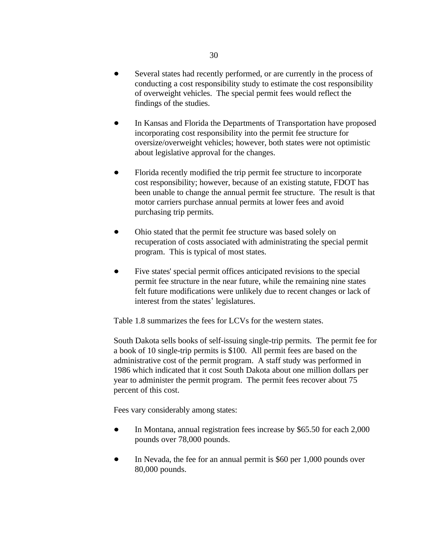- $\bullet$ Several states had recently performed, or are currently in the process of conducting a cost responsibility study to estimate the cost responsibility of overweight vehicles. The special permit fees would reflect the findings of the studies.
- In Kansas and Florida the Departments of Transportation have proposed  $\bullet$ incorporating cost responsibility into the permit fee structure for oversize/overweight vehicles; however, both states were not optimistic about legislative approval for the changes.
- Florida recently modified the trip permit fee structure to incorporate cost responsibility; however, because of an existing statute, FDOT has been unable to change the annual permit fee structure. The result is that motor carriers purchase annual permits at lower fees and avoid purchasing trip permits.
- Ohio stated that the permit fee structure was based solely on recuperation of costs associated with administrating the special permit program. This is typical of most states.
- $\bullet$ Five states' special permit offices anticipated revisions to the special permit fee structure in the near future, while the remaining nine states felt future modifications were unlikely due to recent changes or lack of interest from the states' legislatures.

Table 1.8 summarizes the fees for LCVs for the western states.

South Dakota sells books of self-issuing single-trip permits. The permit fee for a book of 10 single-trip permits is \$100. All permit fees are based on the administrative cost of the permit program. A staff study was performed in 1986 which indicated that it cost South Dakota about one million dollars per year to administer the permit program. The permit fees recover about 75 percent of this cost.

Fees vary considerably among states:

- $\bullet$ In Montana, annual registration fees increase by \$65.50 for each 2,000 pounds over 78,000 pounds.
- In Nevada, the fee for an annual permit is \$60 per 1,000 pounds over 80,000 pounds.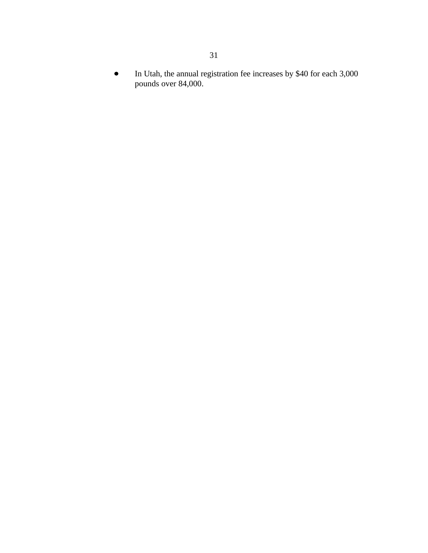In Utah, the annual registration fee increases by \$40 for each 3,000  $\bullet$ pounds over 84,000.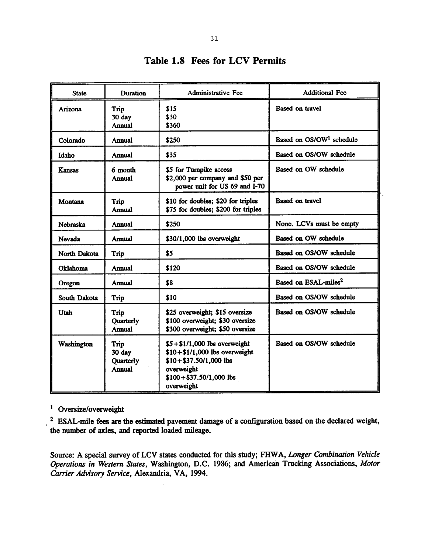| <b>State</b> | Duration                                     | <b>Administrative Fee</b>                                                                                                                              | <b>Additional Fee</b>                |
|--------------|----------------------------------------------|--------------------------------------------------------------------------------------------------------------------------------------------------------|--------------------------------------|
| Arizona      | Trip<br>30 day<br>Annual                     | \$15<br>\$30<br>\$360                                                                                                                                  | <b>Based on travel</b>               |
| Colorado     | Annual                                       | \$250                                                                                                                                                  | Based on OS/OW <sup>1</sup> schedule |
| Idaho        | Annual                                       | \$35                                                                                                                                                   | Based on OS/OW schedule              |
| Kansas       | 6 month<br><b>Annual</b>                     | \$5 for Turnpike access<br>\$2,000 per company and \$50 per<br>power unit for US 69 and I-70                                                           | Based on OW schedule                 |
| Montana      | Trip<br>Annual                               | \$10 for doubles; \$20 for triples<br>\$75 for doubles; \$200 for triples                                                                              | <b>Based on travel</b>               |
| Nebraska     | Annual                                       | \$250                                                                                                                                                  | None. LCVs must be empty             |
| Nevada       | Annual                                       | \$30/1,000 lbs overweight                                                                                                                              | Based on OW schedule                 |
| North Dakota | Trip                                         | \$5                                                                                                                                                    | Based on OS/OW schedule              |
| Oklahoma     | Annual                                       | \$120                                                                                                                                                  | Based on OS/OW schedule              |
| Oregon       | Annual                                       | \$8                                                                                                                                                    | Based on ESAL-miles <sup>2</sup>     |
| South Dakota | Trip                                         | \$10                                                                                                                                                   | Based on OS/OW schedule              |
| Utah         | Trip<br>Quarterly<br><b>Annual</b>           | \$25 overweight; \$15 oversize<br>\$100 overweight; \$30 oversize<br>\$300 overweight; \$50 oversize                                                   | Based on OS/OW schedule              |
| Washington   | Trip<br>30 day<br>Quarterly<br><b>Annual</b> | $$5 + $1/1,000$ lbs overweight<br>$$10 + $1/1,000$ lbs overweight<br>$$10 + $37.50/1,000$ lbs<br>overweight<br>$$100 + $37.50/1,000$ lbs<br>overweight | Based on OS/OW schedule              |

## **Table 1.8 Fees for LCV Permits**

 $1$  Oversize/overweight

<sup>2</sup> ESAL-mile fees are the estimated pavement damage of a configuration based on the declared weight, the number of axles, and reported loaded mileage.

Source: A special survey of LCV states conducted for this study; FHWA, Longer Combination Vehicle Operations in Western States, Washington, D.C. 1986; and American Trucking Associations, Motor Carrier Advisory Service, Alexandria, VA, 1994.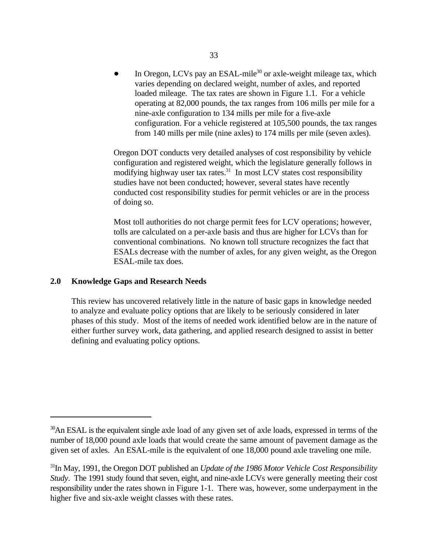In Oregon, LCVs pay an ESAL-mile<sup>30</sup> or axle-weight mileage tax, which varies depending on declared weight, number of axles, and reported loaded mileage. The tax rates are shown in Figure 1.1. For a vehicle operating at 82,000 pounds, the tax ranges from 106 mills per mile for a nine-axle configuration to 134 mills per mile for a five-axle configuration. For a vehicle registered at 105,500 pounds, the tax ranges from 140 mills per mile (nine axles) to 174 mills per mile (seven axles).

Oregon DOT conducts very detailed analyses of cost responsibility by vehicle configuration and registered weight, which the legislature generally follows in modifying highway user tax rates.<sup>31</sup> In most LCV states cost responsibility studies have not been conducted; however, several states have recently conducted cost responsibility studies for permit vehicles or are in the process of doing so.

Most toll authorities do not charge permit fees for LCV operations; however, tolls are calculated on a per-axle basis and thus are higher for LCVs than for conventional combinations. No known toll structure recognizes the fact that ESALs decrease with the number of axles, for any given weight, as the Oregon ESAL-mile tax does.

#### **2.0 Knowledge Gaps and Research Needs**

This review has uncovered relatively little in the nature of basic gaps in knowledge needed to analyze and evaluate policy options that are likely to be seriously considered in later phases of this study. Most of the items of needed work identified below are in the nature of either further survey work, data gathering, and applied research designed to assist in better defining and evaluating policy options.

<sup>&</sup>lt;sup>30</sup>An ESAL is the equivalent single axle load of any given set of axle loads, expressed in terms of the number of 18,000 pound axle loads that would create the same amount of pavement damage as the given set of axles. An ESAL-mile is the equivalent of one 18,000 pound axle traveling one mile.

<sup>&</sup>lt;sup>31</sup>In May, 1991, the Oregon DOT published an *Update of the 1986 Motor Vehicle Cost Responsibility Study*. The 1991 study found that seven, eight, and nine-axle LCVs were generally meeting their cost responsibility under the rates shown in Figure 1-1. There was, however, some underpayment in the higher five and six-axle weight classes with these rates.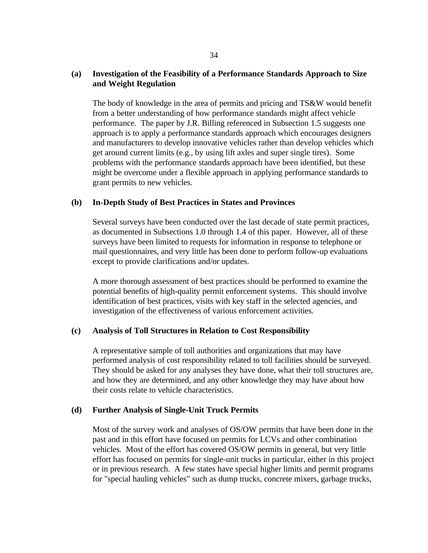## **(a) Investigation of the Feasibility of a Performance Standards Approach to Size and Weight Regulation**

The body of knowledge in the area of permits and pricing and TS&W would benefit from a better understanding of how performance standards might affect vehicle performance. The paper by J.R. Billing referenced in Subsection 1.5 suggests one approach is to apply a performance standards approach which encourages designers and manufacturers to develop innovative vehicles rather than develop vehicles which get around current limits (e.g., by using lift axles and super single tires). Some problems with the performance standards approach have been identified, but these might be overcome under a flexible approach in applying performance standards to grant permits to new vehicles.

## **(b) In-Depth Study of Best Practices in States and Provinces**

Several surveys have been conducted over the last decade of state permit practices, as documented in Subsections 1.0 through 1.4 of this paper. However, all of these surveys have been limited to requests for information in response to telephone or mail questionnaires, and very little has been done to perform follow-up evaluations except to provide clarifications and/or updates.

A more thorough assessment of best practices should be performed to examine the potential benefits of high-quality permit enforcement systems. This should involve identification of best practices, visits with key staff in the selected agencies, and investigation of the effectiveness of various enforcement activities.

## **(c) Analysis of Toll Structures in Relation to Cost Responsibility**

A representative sample of toll authorities and organizations that may have performed analysis of cost responsibility related to toll facilities should be surveyed. They should be asked for any analyses they have done, what their toll structures are, and how they are determined, and any other knowledge they may have about how their costs relate to vehicle characteristics.

#### **(d) Further Analysis of Single-Unit Truck Permits**

Most of the survey work and analyses of OS/OW permits that have been done in the past and in this effort have focused on permits for LCVs and other combination vehicles. Most of the effort has covered OS/OW permits in general, but very little effort has focused on permits for single-unit trucks in particular, either in this project or in previous research. A few states have special higher limits and permit programs for "special hauling vehicles" such as dump trucks, concrete mixers, garbage trucks,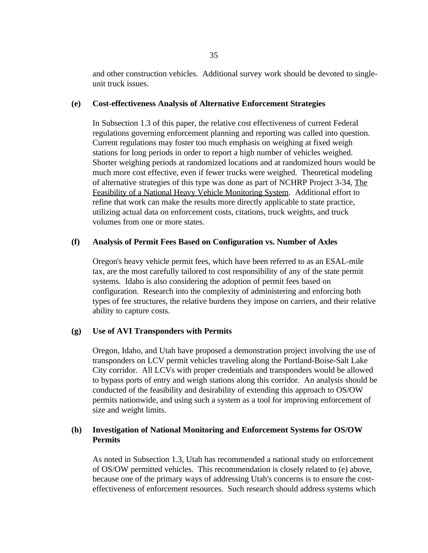and other construction vehicles. Additional survey work should be devoted to singleunit truck issues.

#### **(e) Cost-effectiveness Analysis of Alternative Enforcement Strategies**

In Subsection 1.3 of this paper, the relative cost effectiveness of current Federal regulations governing enforcement planning and reporting was called into question. Current regulations may foster too much emphasis on weighing at fixed weigh stations for long periods in order to report a high number of vehicles weighed. Shorter weighing periods at randomized locations and at randomized hours would be much more cost effective, even if fewer trucks were weighed. Theoretical modeling of alternative strategies of this type was done as part of NCHRP Project 3-34, The Feasibility of a National Heavy Vehicle Monitoring System. Additional effort to refine that work can make the results more directly applicable to state practice, utilizing actual data on enforcement costs, citations, truck weights, and truck volumes from one or more states.

## **(f) Analysis of Permit Fees Based on Configuration vs. Number of Axles**

Oregon's heavy vehicle permit fees, which have been referred to as an ESAL-mile tax, are the most carefully tailored to cost responsibility of any of the state permit systems. Idaho is also considering the adoption of permit fees based on configuration. Research into the complexity of administering and enforcing both types of fee structures, the relative burdens they impose on carriers, and their relative ability to capture costs.

## **(g) Use of AVI Transponders with Permits**

Oregon, Idaho, and Utah have proposed a demonstration project involving the use of transponders on LCV permit vehicles traveling along the Portland-Boise-Salt Lake City corridor. All LCVs with proper credentials and transponders would be allowed to bypass ports of entry and weigh stations along this corridor. An analysis should be conducted of the feasibility and desirability of extending this approach to OS/OW permits nationwide, and using such a system as a tool for improving enforcement of size and weight limits.

## **(h) Investigation of National Monitoring and Enforcement Systems for OS/OW Permits**

As noted in Subsection 1.3, Utah has recommended a national study on enforcement of OS/OW permitted vehicles. This recommendation is closely related to (e) above, because one of the primary ways of addressing Utah's concerns is to ensure the costeffectiveness of enforcement resources. Such research should address systems which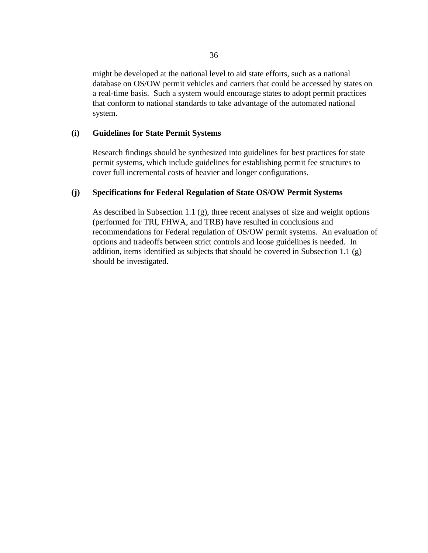might be developed at the national level to aid state efforts, such as a national database on OS/OW permit vehicles and carriers that could be accessed by states on a real-time basis. Such a system would encourage states to adopt permit practices that conform to national standards to take advantage of the automated national system.

#### **(i) Guidelines for State Permit Systems**

Research findings should be synthesized into guidelines for best practices for state permit systems, which include guidelines for establishing permit fee structures to cover full incremental costs of heavier and longer configurations.

## **(j) Specifications for Federal Regulation of State OS/OW Permit Systems**

As described in Subsection 1.1 (g), three recent analyses of size and weight options (performed for TRI, FHWA, and TRB) have resulted in conclusions and recommendations for Federal regulation of OS/OW permit systems. An evaluation of options and tradeoffs between strict controls and loose guidelines is needed. In addition, items identified as subjects that should be covered in Subsection 1.1 (g) should be investigated.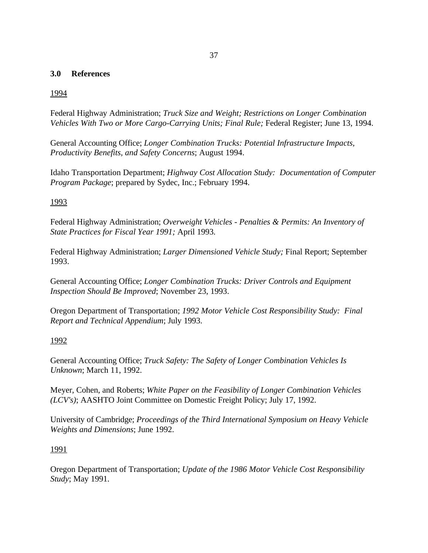## **3.0 References**

## 1994

Federal Highway Administration; *Truck Size and Weight; Restrictions on Longer Combination Vehicles With Two or More Cargo-Carrying Units; Final Rule;* Federal Register; June 13, 1994.

General Accounting Office; *Longer Combination Trucks: Potential Infrastructure Impacts, Productivity Benefits, and Safety Concerns*; August 1994.

Idaho Transportation Department; *Highway Cost Allocation Study: Documentation of Computer Program Package*; prepared by Sydec, Inc.; February 1994.

### 1993

Federal Highway Administration; *Overweight Vehicles - Penalties & Permits: An Inventory of State Practices for Fiscal Year 1991;* April 1993.

Federal Highway Administration; *Larger Dimensioned Vehicle Study;* Final Report; September 1993.

General Accounting Office; *Longer Combination Trucks: Driver Controls and Equipment Inspection Should Be Improved*; November 23, 1993.

Oregon Department of Transportation; *1992 Motor Vehicle Cost Responsibility Study: Final Report and Technical Appendium*; July 1993.

## 1992

General Accounting Office; *Truck Safety: The Safety of Longer Combination Vehicles Is Unknown*; March 11, 1992.

Meyer, Cohen, and Roberts; *White Paper on the Feasibility of Longer Combination Vehicles (LCV's)*; AASHTO Joint Committee on Domestic Freight Policy; July 17, 1992.

University of Cambridge; *Proceedings of the Third International Symposium on Heavy Vehicle Weights and Dimensions*; June 1992.

#### 1991

Oregon Department of Transportation; *Update of the 1986 Motor Vehicle Cost Responsibility Study*; May 1991.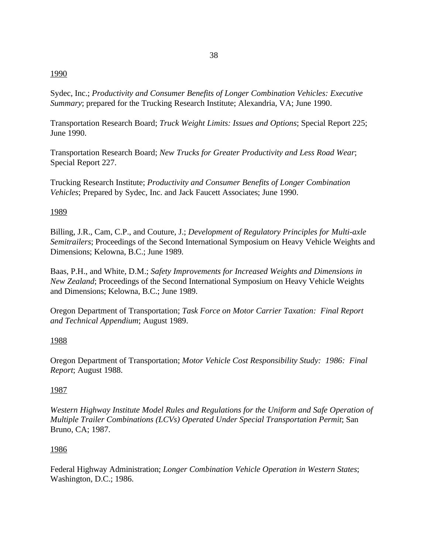## 1990

Sydec, Inc.; *Productivity and Consumer Benefits of Longer Combination Vehicles: Executive Summary*; prepared for the Trucking Research Institute; Alexandria, VA; June 1990.

Transportation Research Board; *Truck Weight Limits: Issues and Options*; Special Report 225; June 1990.

Transportation Research Board; *New Trucks for Greater Productivity and Less Road Wear*; Special Report 227.

Trucking Research Institute; *Productivity and Consumer Benefits of Longer Combination Vehicles*; Prepared by Sydec, Inc. and Jack Faucett Associates; June 1990.

## 1989

Billing, J.R., Cam, C.P., and Couture, J.; *Development of Regulatory Principles for Multi-axle Semitrailers*; Proceedings of the Second International Symposium on Heavy Vehicle Weights and Dimensions; Kelowna, B.C.; June 1989.

Baas, P.H., and White, D.M.; *Safety Improvements for Increased Weights and Dimensions in New Zealand*; Proceedings of the Second International Symposium on Heavy Vehicle Weights and Dimensions; Kelowna, B.C.; June 1989.

Oregon Department of Transportation; *Task Force on Motor Carrier Taxation: Final Report and Technical Appendium*; August 1989.

## 1988

Oregon Department of Transportation; *Motor Vehicle Cost Responsibility Study: 1986: Final Report*; August 1988.

## 1987

*Western Highway Institute Model Rules and Regulations for the Uniform and Safe Operation of Multiple Trailer Combinations (LCVs) Operated Under Special Transportation Permit*; San Bruno, CA; 1987.

#### 1986

Federal Highway Administration; *Longer Combination Vehicle Operation in Western States*; Washington, D.C.; 1986.